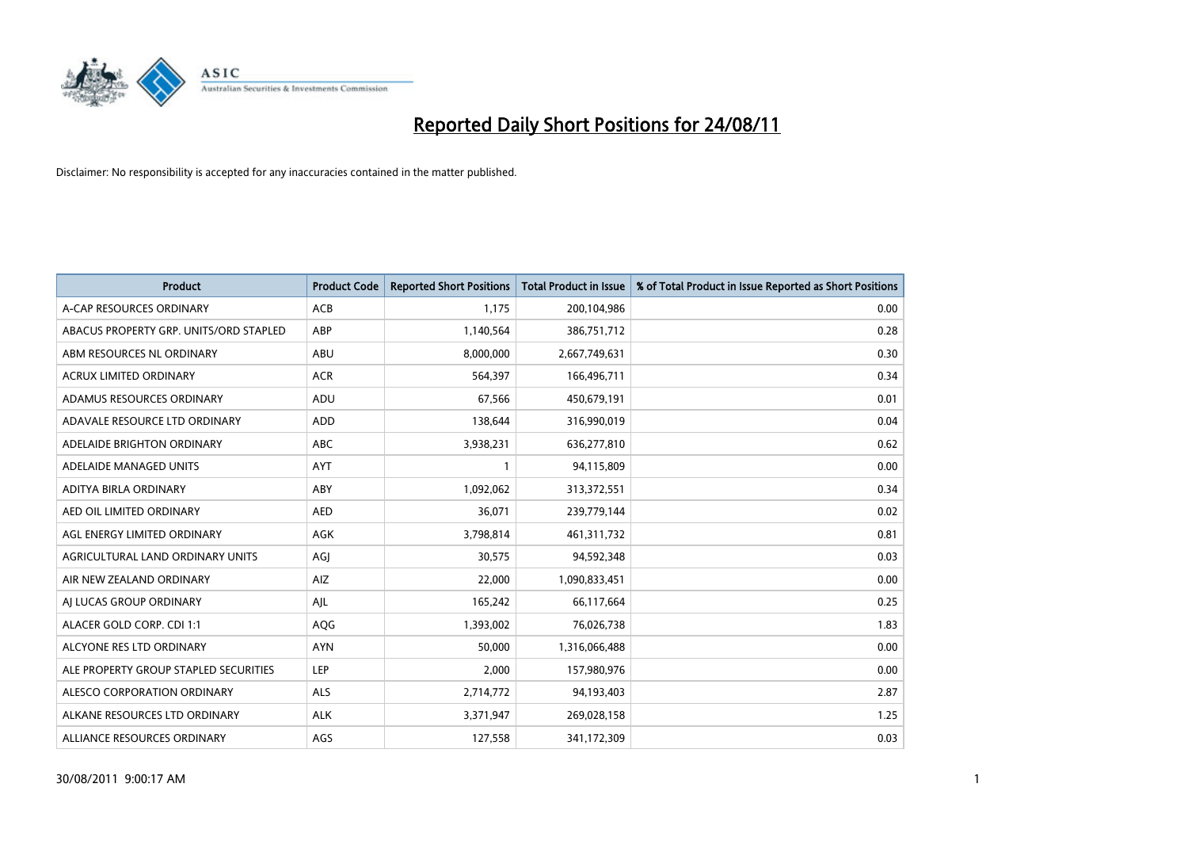

| <b>Product</b>                         | <b>Product Code</b> | <b>Reported Short Positions</b> | Total Product in Issue | % of Total Product in Issue Reported as Short Positions |
|----------------------------------------|---------------------|---------------------------------|------------------------|---------------------------------------------------------|
| A-CAP RESOURCES ORDINARY               | <b>ACB</b>          | 1,175                           | 200,104,986            | 0.00                                                    |
| ABACUS PROPERTY GRP. UNITS/ORD STAPLED | <b>ABP</b>          | 1,140,564                       | 386,751,712            | 0.28                                                    |
| ABM RESOURCES NL ORDINARY              | <b>ABU</b>          | 8,000,000                       | 2,667,749,631          | 0.30                                                    |
| ACRUX LIMITED ORDINARY                 | <b>ACR</b>          | 564,397                         | 166,496,711            | 0.34                                                    |
| ADAMUS RESOURCES ORDINARY              | ADU                 | 67,566                          | 450,679,191            | 0.01                                                    |
| ADAVALE RESOURCE LTD ORDINARY          | <b>ADD</b>          | 138,644                         | 316,990,019            | 0.04                                                    |
| ADELAIDE BRIGHTON ORDINARY             | <b>ABC</b>          | 3,938,231                       | 636,277,810            | 0.62                                                    |
| ADELAIDE MANAGED UNITS                 | <b>AYT</b>          |                                 | 94,115,809             | 0.00                                                    |
| ADITYA BIRLA ORDINARY                  | ABY                 | 1,092,062                       | 313,372,551            | 0.34                                                    |
| AED OIL LIMITED ORDINARY               | <b>AED</b>          | 36,071                          | 239,779,144            | 0.02                                                    |
| AGL ENERGY LIMITED ORDINARY            | <b>AGK</b>          | 3,798,814                       | 461,311,732            | 0.81                                                    |
| AGRICULTURAL LAND ORDINARY UNITS       | AGJ                 | 30,575                          | 94,592,348             | 0.03                                                    |
| AIR NEW ZEALAND ORDINARY               | AIZ                 | 22,000                          | 1,090,833,451          | 0.00                                                    |
| AI LUCAS GROUP ORDINARY                | AJL                 | 165,242                         | 66,117,664             | 0.25                                                    |
| ALACER GOLD CORP. CDI 1:1              | AQG                 | 1,393,002                       | 76,026,738             | 1.83                                                    |
| ALCYONE RES LTD ORDINARY               | <b>AYN</b>          | 50,000                          | 1,316,066,488          | 0.00                                                    |
| ALE PROPERTY GROUP STAPLED SECURITIES  | <b>LEP</b>          | 2,000                           | 157,980,976            | 0.00                                                    |
| ALESCO CORPORATION ORDINARY            | <b>ALS</b>          | 2,714,772                       | 94,193,403             | 2.87                                                    |
| ALKANE RESOURCES LTD ORDINARY          | <b>ALK</b>          | 3,371,947                       | 269,028,158            | 1.25                                                    |
| ALLIANCE RESOURCES ORDINARY            | AGS                 | 127,558                         | 341,172,309            | 0.03                                                    |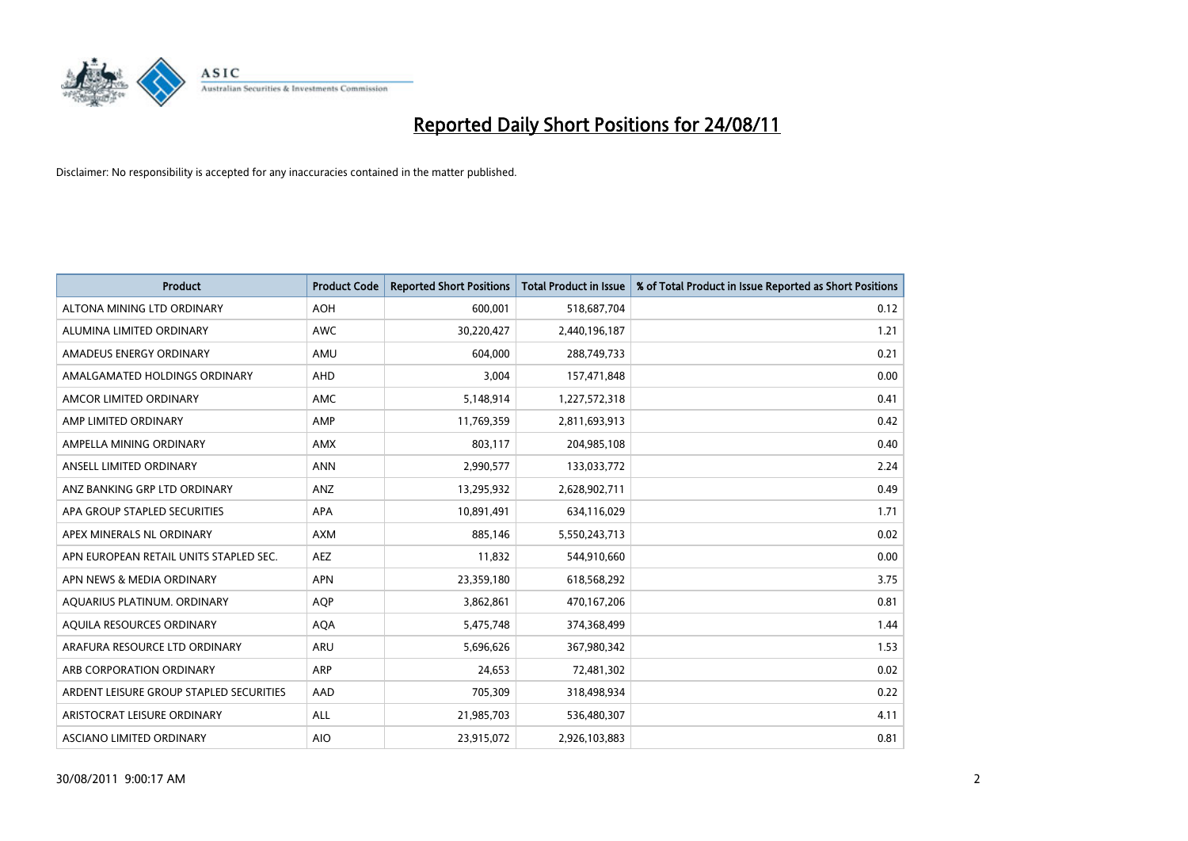

| <b>Product</b>                          | <b>Product Code</b> | <b>Reported Short Positions</b> | <b>Total Product in Issue</b> | % of Total Product in Issue Reported as Short Positions |
|-----------------------------------------|---------------------|---------------------------------|-------------------------------|---------------------------------------------------------|
| ALTONA MINING LTD ORDINARY              | <b>AOH</b>          | 600,001                         | 518,687,704                   | 0.12                                                    |
| ALUMINA LIMITED ORDINARY                | <b>AWC</b>          | 30,220,427                      | 2,440,196,187                 | 1.21                                                    |
| AMADEUS ENERGY ORDINARY                 | AMU                 | 604.000                         | 288,749,733                   | 0.21                                                    |
| AMALGAMATED HOLDINGS ORDINARY           | AHD                 | 3,004                           | 157,471,848                   | 0.00                                                    |
| AMCOR LIMITED ORDINARY                  | <b>AMC</b>          | 5,148,914                       | 1,227,572,318                 | 0.41                                                    |
| AMP LIMITED ORDINARY                    | AMP                 | 11,769,359                      | 2,811,693,913                 | 0.42                                                    |
| AMPELLA MINING ORDINARY                 | <b>AMX</b>          | 803.117                         | 204,985,108                   | 0.40                                                    |
| ANSELL LIMITED ORDINARY                 | <b>ANN</b>          | 2,990,577                       | 133,033,772                   | 2.24                                                    |
| ANZ BANKING GRP LTD ORDINARY            | ANZ                 | 13,295,932                      | 2,628,902,711                 | 0.49                                                    |
| APA GROUP STAPLED SECURITIES            | <b>APA</b>          | 10,891,491                      | 634,116,029                   | 1.71                                                    |
| APEX MINERALS NL ORDINARY               | <b>AXM</b>          | 885,146                         | 5,550,243,713                 | 0.02                                                    |
| APN EUROPEAN RETAIL UNITS STAPLED SEC.  | <b>AEZ</b>          | 11,832                          | 544,910,660                   | 0.00                                                    |
| APN NEWS & MEDIA ORDINARY               | <b>APN</b>          | 23,359,180                      | 618,568,292                   | 3.75                                                    |
| AQUARIUS PLATINUM. ORDINARY             | <b>AOP</b>          | 3,862,861                       | 470,167,206                   | 0.81                                                    |
| AQUILA RESOURCES ORDINARY               | <b>AQA</b>          | 5,475,748                       | 374,368,499                   | 1.44                                                    |
| ARAFURA RESOURCE LTD ORDINARY           | ARU                 | 5,696,626                       | 367,980,342                   | 1.53                                                    |
| ARB CORPORATION ORDINARY                | ARP                 | 24,653                          | 72,481,302                    | 0.02                                                    |
| ARDENT LEISURE GROUP STAPLED SECURITIES | AAD                 | 705,309                         | 318,498,934                   | 0.22                                                    |
| ARISTOCRAT LEISURE ORDINARY             | <b>ALL</b>          | 21,985,703                      | 536,480,307                   | 4.11                                                    |
| ASCIANO LIMITED ORDINARY                | <b>AIO</b>          | 23,915,072                      | 2,926,103,883                 | 0.81                                                    |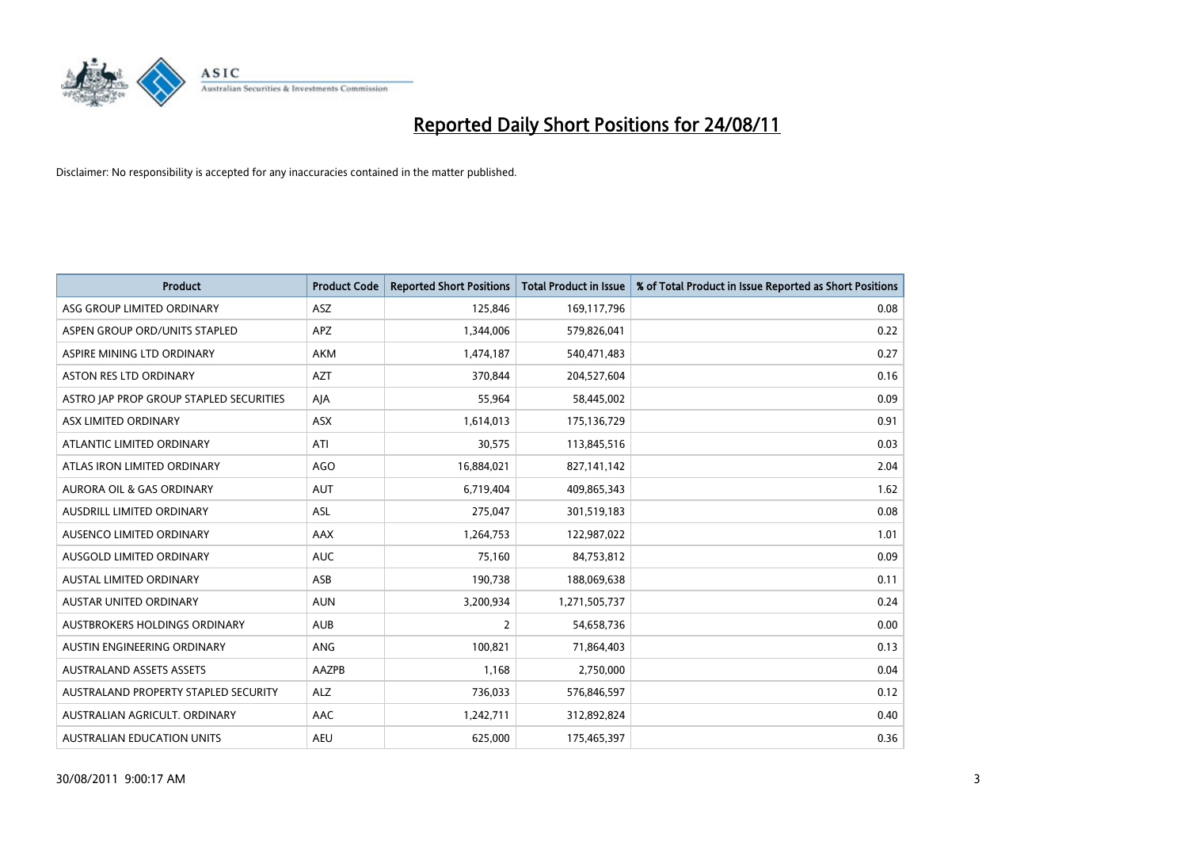

| <b>Product</b>                          | <b>Product Code</b> | <b>Reported Short Positions</b> | <b>Total Product in Issue</b> | % of Total Product in Issue Reported as Short Positions |
|-----------------------------------------|---------------------|---------------------------------|-------------------------------|---------------------------------------------------------|
| ASG GROUP LIMITED ORDINARY              | <b>ASZ</b>          | 125,846                         | 169,117,796                   | 0.08                                                    |
| ASPEN GROUP ORD/UNITS STAPLED           | <b>APZ</b>          | 1,344,006                       | 579,826,041                   | 0.22                                                    |
| ASPIRE MINING LTD ORDINARY              | <b>AKM</b>          | 1,474,187                       | 540,471,483                   | 0.27                                                    |
| ASTON RES LTD ORDINARY                  | <b>AZT</b>          | 370,844                         | 204,527,604                   | 0.16                                                    |
| ASTRO JAP PROP GROUP STAPLED SECURITIES | AJA                 | 55,964                          | 58,445,002                    | 0.09                                                    |
| ASX LIMITED ORDINARY                    | <b>ASX</b>          | 1,614,013                       | 175,136,729                   | 0.91                                                    |
| ATLANTIC LIMITED ORDINARY               | ATI                 | 30,575                          | 113,845,516                   | 0.03                                                    |
| ATLAS IRON LIMITED ORDINARY             | <b>AGO</b>          | 16,884,021                      | 827,141,142                   | 2.04                                                    |
| AURORA OIL & GAS ORDINARY               | <b>AUT</b>          | 6,719,404                       | 409,865,343                   | 1.62                                                    |
| AUSDRILL LIMITED ORDINARY               | <b>ASL</b>          | 275,047                         | 301,519,183                   | 0.08                                                    |
| AUSENCO LIMITED ORDINARY                | <b>AAX</b>          | 1,264,753                       | 122,987,022                   | 1.01                                                    |
| AUSGOLD LIMITED ORDINARY                | <b>AUC</b>          | 75,160                          | 84,753,812                    | 0.09                                                    |
| <b>AUSTAL LIMITED ORDINARY</b>          | ASB                 | 190,738                         | 188,069,638                   | 0.11                                                    |
| <b>AUSTAR UNITED ORDINARY</b>           | <b>AUN</b>          | 3,200,934                       | 1,271,505,737                 | 0.24                                                    |
| <b>AUSTBROKERS HOLDINGS ORDINARY</b>    | <b>AUB</b>          | $\overline{2}$                  | 54,658,736                    | 0.00                                                    |
| AUSTIN ENGINEERING ORDINARY             | ANG                 | 100,821                         | 71,864,403                    | 0.13                                                    |
| <b>AUSTRALAND ASSETS ASSETS</b>         | AAZPB               | 1,168                           | 2,750,000                     | 0.04                                                    |
| AUSTRALAND PROPERTY STAPLED SECURITY    | <b>ALZ</b>          | 736,033                         | 576,846,597                   | 0.12                                                    |
| AUSTRALIAN AGRICULT, ORDINARY           | AAC                 | 1,242,711                       | 312,892,824                   | 0.40                                                    |
| AUSTRALIAN EDUCATION UNITS              | <b>AEU</b>          | 625.000                         | 175,465,397                   | 0.36                                                    |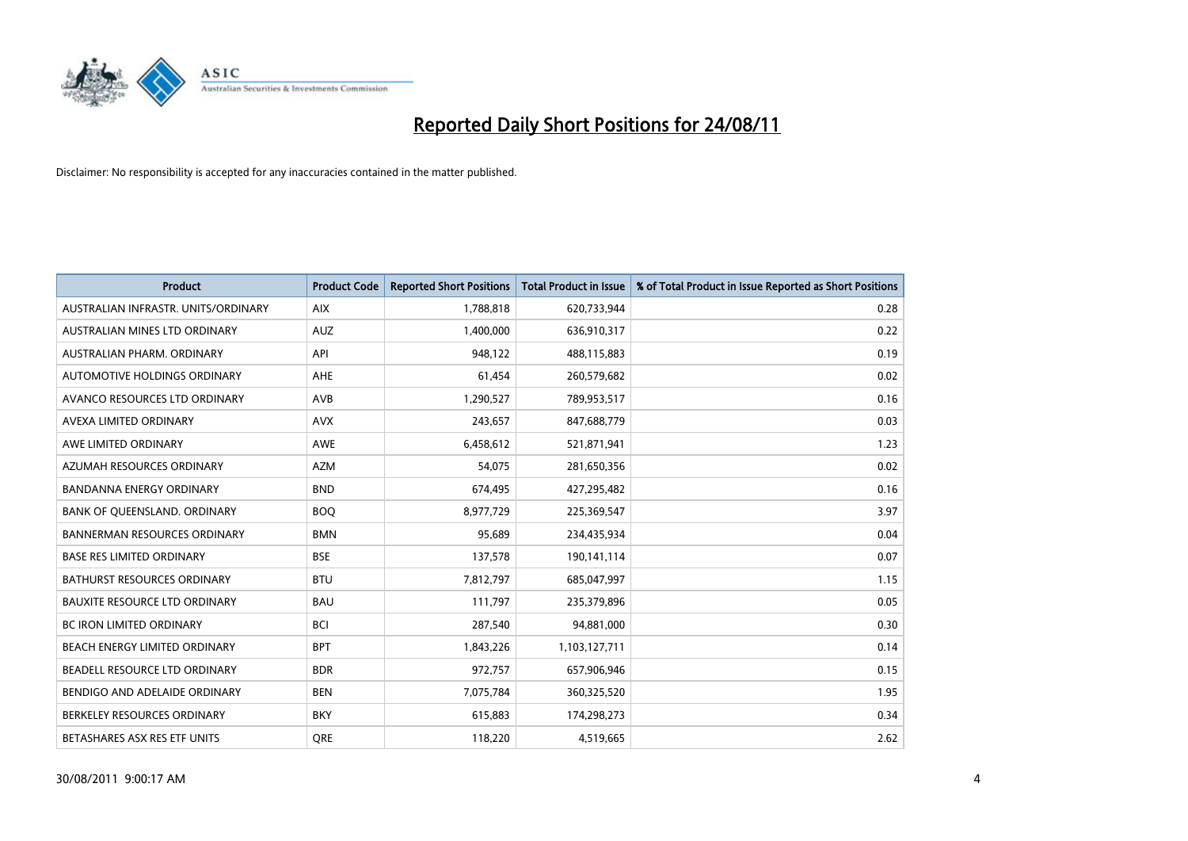

| <b>Product</b>                       | <b>Product Code</b> | <b>Reported Short Positions</b> | <b>Total Product in Issue</b> | % of Total Product in Issue Reported as Short Positions |
|--------------------------------------|---------------------|---------------------------------|-------------------------------|---------------------------------------------------------|
| AUSTRALIAN INFRASTR, UNITS/ORDINARY  | <b>AIX</b>          | 1,788,818                       | 620,733,944                   | 0.28                                                    |
| AUSTRALIAN MINES LTD ORDINARY        | <b>AUZ</b>          | 1,400,000                       | 636,910,317                   | 0.22                                                    |
| AUSTRALIAN PHARM, ORDINARY           | API                 | 948,122                         | 488,115,883                   | 0.19                                                    |
| AUTOMOTIVE HOLDINGS ORDINARY         | <b>AHE</b>          | 61,454                          | 260,579,682                   | 0.02                                                    |
| AVANCO RESOURCES LTD ORDINARY        | <b>AVB</b>          | 1,290,527                       | 789,953,517                   | 0.16                                                    |
| AVEXA LIMITED ORDINARY               | <b>AVX</b>          | 243,657                         | 847,688,779                   | 0.03                                                    |
| AWE LIMITED ORDINARY                 | <b>AWE</b>          | 6,458,612                       | 521,871,941                   | 1.23                                                    |
| AZUMAH RESOURCES ORDINARY            | <b>AZM</b>          | 54,075                          | 281,650,356                   | 0.02                                                    |
| BANDANNA ENERGY ORDINARY             | <b>BND</b>          | 674,495                         | 427,295,482                   | 0.16                                                    |
| BANK OF QUEENSLAND. ORDINARY         | <b>BOQ</b>          | 8,977,729                       | 225,369,547                   | 3.97                                                    |
| <b>BANNERMAN RESOURCES ORDINARY</b>  | <b>BMN</b>          | 95,689                          | 234,435,934                   | 0.04                                                    |
| <b>BASE RES LIMITED ORDINARY</b>     | <b>BSE</b>          | 137,578                         | 190,141,114                   | 0.07                                                    |
| <b>BATHURST RESOURCES ORDINARY</b>   | <b>BTU</b>          | 7,812,797                       | 685,047,997                   | 1.15                                                    |
| <b>BAUXITE RESOURCE LTD ORDINARY</b> | <b>BAU</b>          | 111,797                         | 235,379,896                   | 0.05                                                    |
| <b>BC IRON LIMITED ORDINARY</b>      | <b>BCI</b>          | 287,540                         | 94,881,000                    | 0.30                                                    |
| BEACH ENERGY LIMITED ORDINARY        | <b>BPT</b>          | 1,843,226                       | 1,103,127,711                 | 0.14                                                    |
| BEADELL RESOURCE LTD ORDINARY        | <b>BDR</b>          | 972,757                         | 657,906,946                   | 0.15                                                    |
| BENDIGO AND ADELAIDE ORDINARY        | <b>BEN</b>          | 7,075,784                       | 360,325,520                   | 1.95                                                    |
| BERKELEY RESOURCES ORDINARY          | <b>BKY</b>          | 615,883                         | 174,298,273                   | 0.34                                                    |
| BETASHARES ASX RES ETF UNITS         | <b>ORE</b>          | 118,220                         | 4,519,665                     | 2.62                                                    |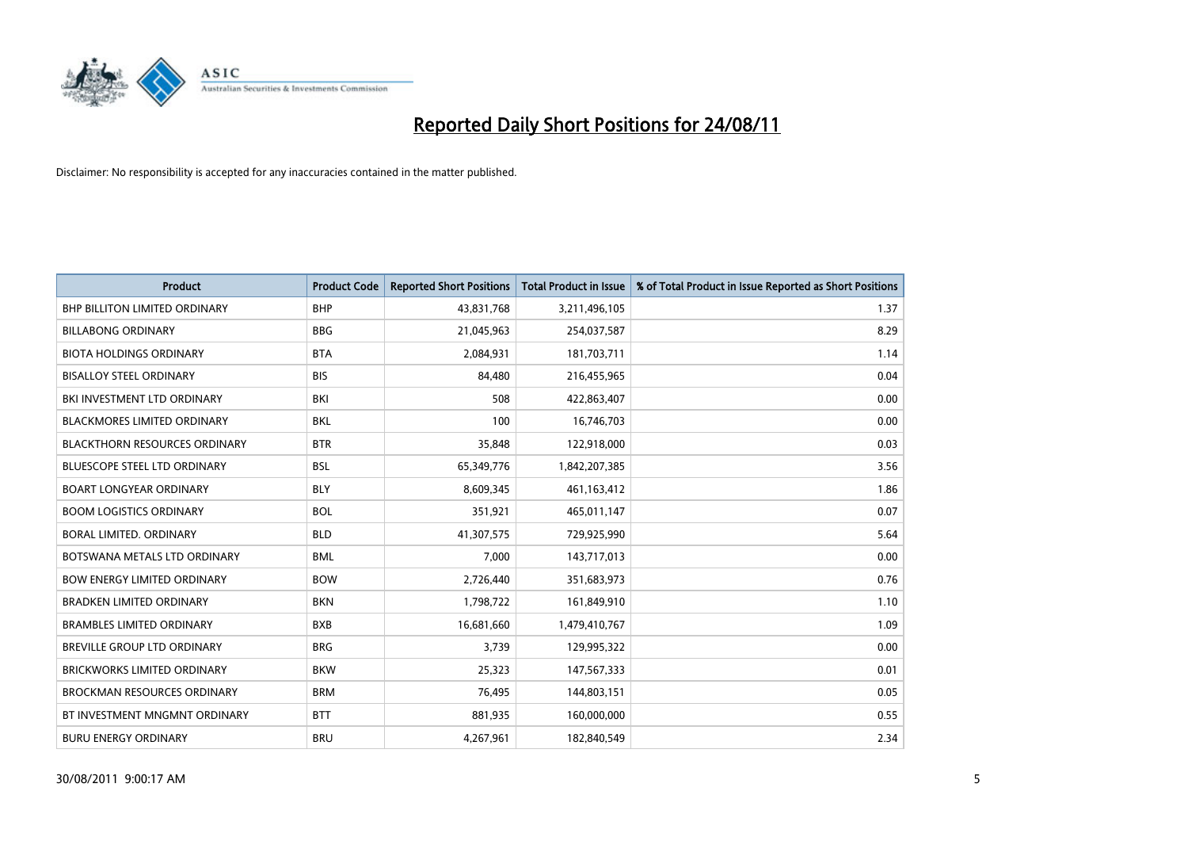

| <b>Product</b>                       | <b>Product Code</b> | <b>Reported Short Positions</b> | <b>Total Product in Issue</b> | % of Total Product in Issue Reported as Short Positions |
|--------------------------------------|---------------------|---------------------------------|-------------------------------|---------------------------------------------------------|
| <b>BHP BILLITON LIMITED ORDINARY</b> | <b>BHP</b>          | 43,831,768                      | 3,211,496,105                 | 1.37                                                    |
| <b>BILLABONG ORDINARY</b>            | <b>BBG</b>          | 21,045,963                      | 254,037,587                   | 8.29                                                    |
| <b>BIOTA HOLDINGS ORDINARY</b>       | <b>BTA</b>          | 2,084,931                       | 181,703,711                   | 1.14                                                    |
| <b>BISALLOY STEEL ORDINARY</b>       | <b>BIS</b>          | 84,480                          | 216,455,965                   | 0.04                                                    |
| BKI INVESTMENT LTD ORDINARY          | BKI                 | 508                             | 422,863,407                   | 0.00                                                    |
| <b>BLACKMORES LIMITED ORDINARY</b>   | <b>BKL</b>          | 100                             | 16,746,703                    | 0.00                                                    |
| <b>BLACKTHORN RESOURCES ORDINARY</b> | <b>BTR</b>          | 35,848                          | 122,918,000                   | 0.03                                                    |
| <b>BLUESCOPE STEEL LTD ORDINARY</b>  | <b>BSL</b>          | 65,349,776                      | 1,842,207,385                 | 3.56                                                    |
| <b>BOART LONGYEAR ORDINARY</b>       | <b>BLY</b>          | 8,609,345                       | 461,163,412                   | 1.86                                                    |
| <b>BOOM LOGISTICS ORDINARY</b>       | <b>BOL</b>          | 351,921                         | 465,011,147                   | 0.07                                                    |
| BORAL LIMITED. ORDINARY              | <b>BLD</b>          | 41,307,575                      | 729,925,990                   | 5.64                                                    |
| BOTSWANA METALS LTD ORDINARY         | <b>BML</b>          | 7,000                           | 143,717,013                   | 0.00                                                    |
| <b>BOW ENERGY LIMITED ORDINARY</b>   | <b>BOW</b>          | 2,726,440                       | 351,683,973                   | 0.76                                                    |
| <b>BRADKEN LIMITED ORDINARY</b>      | <b>BKN</b>          | 1,798,722                       | 161,849,910                   | 1.10                                                    |
| <b>BRAMBLES LIMITED ORDINARY</b>     | <b>BXB</b>          | 16,681,660                      | 1,479,410,767                 | 1.09                                                    |
| BREVILLE GROUP LTD ORDINARY          | <b>BRG</b>          | 3,739                           | 129,995,322                   | 0.00                                                    |
| <b>BRICKWORKS LIMITED ORDINARY</b>   | <b>BKW</b>          | 25,323                          | 147,567,333                   | 0.01                                                    |
| <b>BROCKMAN RESOURCES ORDINARY</b>   | <b>BRM</b>          | 76,495                          | 144,803,151                   | 0.05                                                    |
| BT INVESTMENT MNGMNT ORDINARY        | <b>BTT</b>          | 881,935                         | 160,000,000                   | 0.55                                                    |
| <b>BURU ENERGY ORDINARY</b>          | <b>BRU</b>          | 4,267,961                       | 182,840,549                   | 2.34                                                    |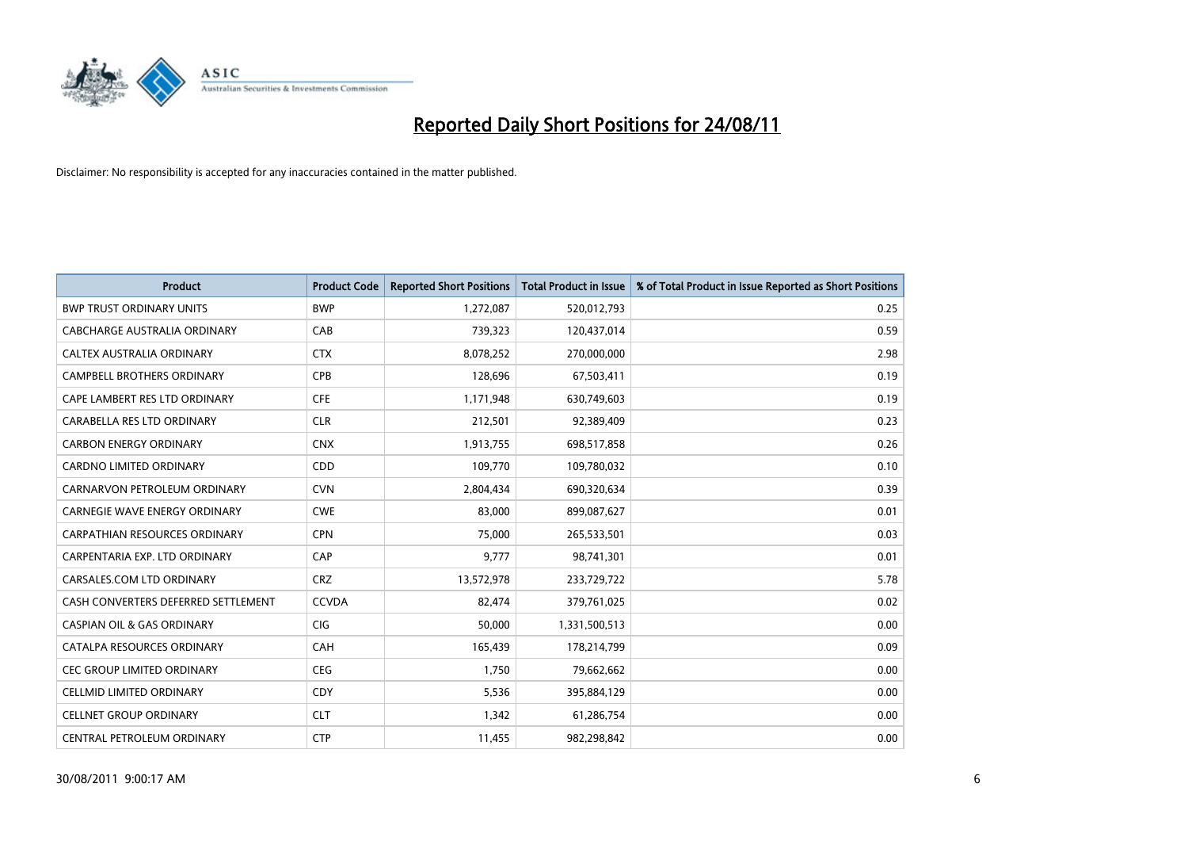

| <b>Product</b>                        | <b>Product Code</b> | <b>Reported Short Positions</b> | <b>Total Product in Issue</b> | % of Total Product in Issue Reported as Short Positions |
|---------------------------------------|---------------------|---------------------------------|-------------------------------|---------------------------------------------------------|
| <b>BWP TRUST ORDINARY UNITS</b>       | <b>BWP</b>          | 1,272,087                       | 520,012,793                   | 0.25                                                    |
| CABCHARGE AUSTRALIA ORDINARY          | CAB                 | 739,323                         | 120,437,014                   | 0.59                                                    |
| CALTEX AUSTRALIA ORDINARY             | <b>CTX</b>          | 8,078,252                       | 270,000,000                   | 2.98                                                    |
| <b>CAMPBELL BROTHERS ORDINARY</b>     | <b>CPB</b>          | 128,696                         | 67,503,411                    | 0.19                                                    |
| CAPE LAMBERT RES LTD ORDINARY         | <b>CFE</b>          | 1,171,948                       | 630,749,603                   | 0.19                                                    |
| CARABELLA RES LTD ORDINARY            | <b>CLR</b>          | 212,501                         | 92,389,409                    | 0.23                                                    |
| <b>CARBON ENERGY ORDINARY</b>         | <b>CNX</b>          | 1,913,755                       | 698,517,858                   | 0.26                                                    |
| CARDNO LIMITED ORDINARY               | <b>CDD</b>          | 109,770                         | 109,780,032                   | 0.10                                                    |
| CARNARVON PETROLEUM ORDINARY          | <b>CVN</b>          | 2,804,434                       | 690,320,634                   | 0.39                                                    |
| <b>CARNEGIE WAVE ENERGY ORDINARY</b>  | <b>CWE</b>          | 83,000                          | 899,087,627                   | 0.01                                                    |
| CARPATHIAN RESOURCES ORDINARY         | <b>CPN</b>          | 75,000                          | 265,533,501                   | 0.03                                                    |
| CARPENTARIA EXP. LTD ORDINARY         | CAP                 | 9,777                           | 98,741,301                    | 0.01                                                    |
| CARSALES.COM LTD ORDINARY             | <b>CRZ</b>          | 13,572,978                      | 233,729,722                   | 5.78                                                    |
| CASH CONVERTERS DEFERRED SETTLEMENT   | <b>CCVDA</b>        | 82,474                          | 379,761,025                   | 0.02                                                    |
| <b>CASPIAN OIL &amp; GAS ORDINARY</b> | <b>CIG</b>          | 50,000                          | 1,331,500,513                 | 0.00                                                    |
| CATALPA RESOURCES ORDINARY            | CAH                 | 165,439                         | 178,214,799                   | 0.09                                                    |
| <b>CEC GROUP LIMITED ORDINARY</b>     | <b>CEG</b>          | 1,750                           | 79,662,662                    | 0.00                                                    |
| CELLMID LIMITED ORDINARY              | CDY                 | 5,536                           | 395,884,129                   | 0.00                                                    |
| <b>CELLNET GROUP ORDINARY</b>         | <b>CLT</b>          | 1,342                           | 61,286,754                    | 0.00                                                    |
| CENTRAL PETROLEUM ORDINARY            | <b>CTP</b>          | 11,455                          | 982,298,842                   | 0.00                                                    |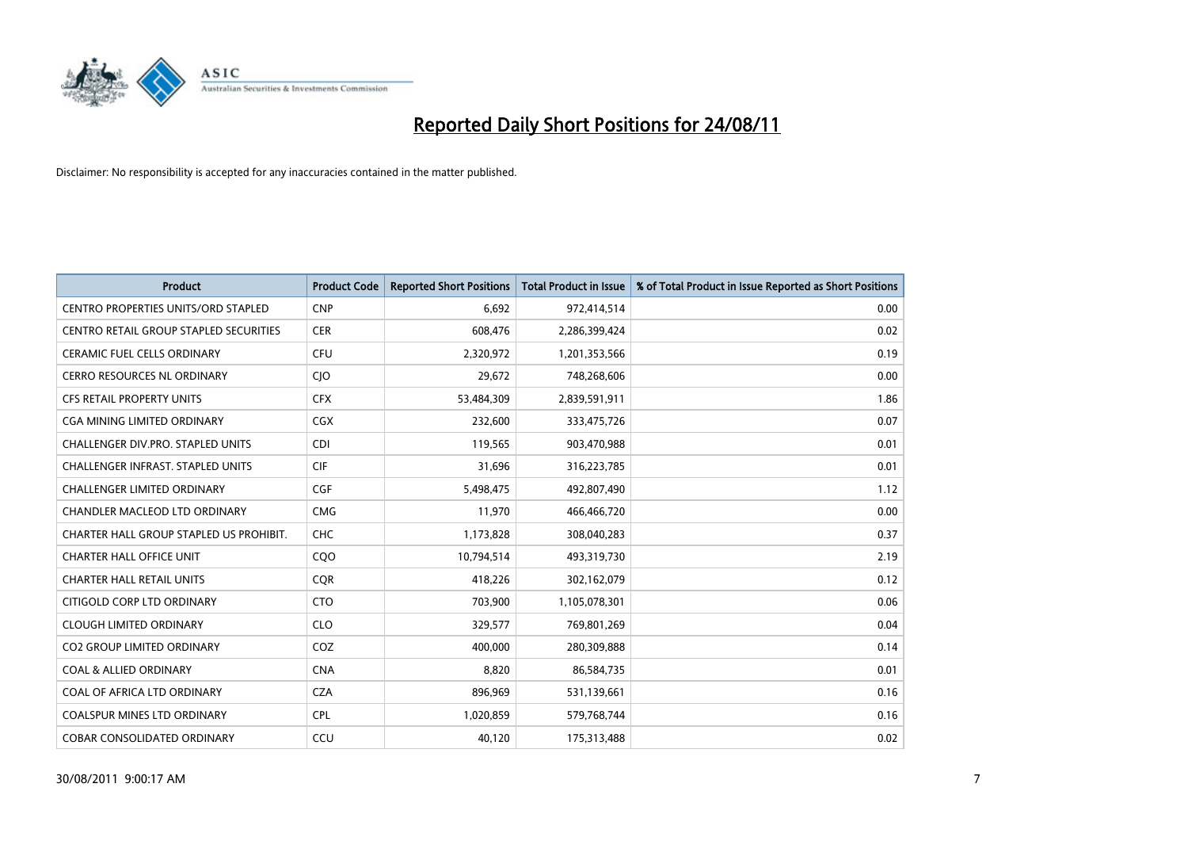

| <b>Product</b>                             | <b>Product Code</b> | <b>Reported Short Positions</b> | <b>Total Product in Issue</b> | % of Total Product in Issue Reported as Short Positions |
|--------------------------------------------|---------------------|---------------------------------|-------------------------------|---------------------------------------------------------|
| <b>CENTRO PROPERTIES UNITS/ORD STAPLED</b> | <b>CNP</b>          | 6,692                           | 972,414,514                   | 0.00                                                    |
| CENTRO RETAIL GROUP STAPLED SECURITIES     | <b>CER</b>          | 608,476                         | 2,286,399,424                 | 0.02                                                    |
| <b>CERAMIC FUEL CELLS ORDINARY</b>         | <b>CFU</b>          | 2,320,972                       | 1,201,353,566                 | 0.19                                                    |
| <b>CERRO RESOURCES NL ORDINARY</b>         | CJO                 | 29,672                          | 748,268,606                   | 0.00                                                    |
| <b>CFS RETAIL PROPERTY UNITS</b>           | <b>CFX</b>          | 53,484,309                      | 2,839,591,911                 | 1.86                                                    |
| CGA MINING LIMITED ORDINARY                | <b>CGX</b>          | 232,600                         | 333,475,726                   | 0.07                                                    |
| <b>CHALLENGER DIV.PRO. STAPLED UNITS</b>   | <b>CDI</b>          | 119,565                         | 903,470,988                   | 0.01                                                    |
| <b>CHALLENGER INFRAST, STAPLED UNITS</b>   | <b>CIF</b>          | 31,696                          | 316,223,785                   | 0.01                                                    |
| CHALLENGER LIMITED ORDINARY                | <b>CGF</b>          | 5,498,475                       | 492,807,490                   | 1.12                                                    |
| CHANDLER MACLEOD LTD ORDINARY              | <b>CMG</b>          | 11,970                          | 466,466,720                   | 0.00                                                    |
| CHARTER HALL GROUP STAPLED US PROHIBIT.    | CHC                 | 1,173,828                       | 308,040,283                   | 0.37                                                    |
| <b>CHARTER HALL OFFICE UNIT</b>            | CQ <sub>O</sub>     | 10,794,514                      | 493,319,730                   | 2.19                                                    |
| <b>CHARTER HALL RETAIL UNITS</b>           | <b>COR</b>          | 418,226                         | 302,162,079                   | 0.12                                                    |
| CITIGOLD CORP LTD ORDINARY                 | <b>CTO</b>          | 703,900                         | 1,105,078,301                 | 0.06                                                    |
| <b>CLOUGH LIMITED ORDINARY</b>             | <b>CLO</b>          | 329,577                         | 769,801,269                   | 0.04                                                    |
| <b>CO2 GROUP LIMITED ORDINARY</b>          | COZ                 | 400.000                         | 280,309,888                   | 0.14                                                    |
| <b>COAL &amp; ALLIED ORDINARY</b>          | <b>CNA</b>          | 8,820                           | 86,584,735                    | 0.01                                                    |
| COAL OF AFRICA LTD ORDINARY                | <b>CZA</b>          | 896,969                         | 531,139,661                   | 0.16                                                    |
| <b>COALSPUR MINES LTD ORDINARY</b>         | <b>CPL</b>          | 1,020,859                       | 579,768,744                   | 0.16                                                    |
| COBAR CONSOLIDATED ORDINARY                | CCU                 | 40,120                          | 175,313,488                   | 0.02                                                    |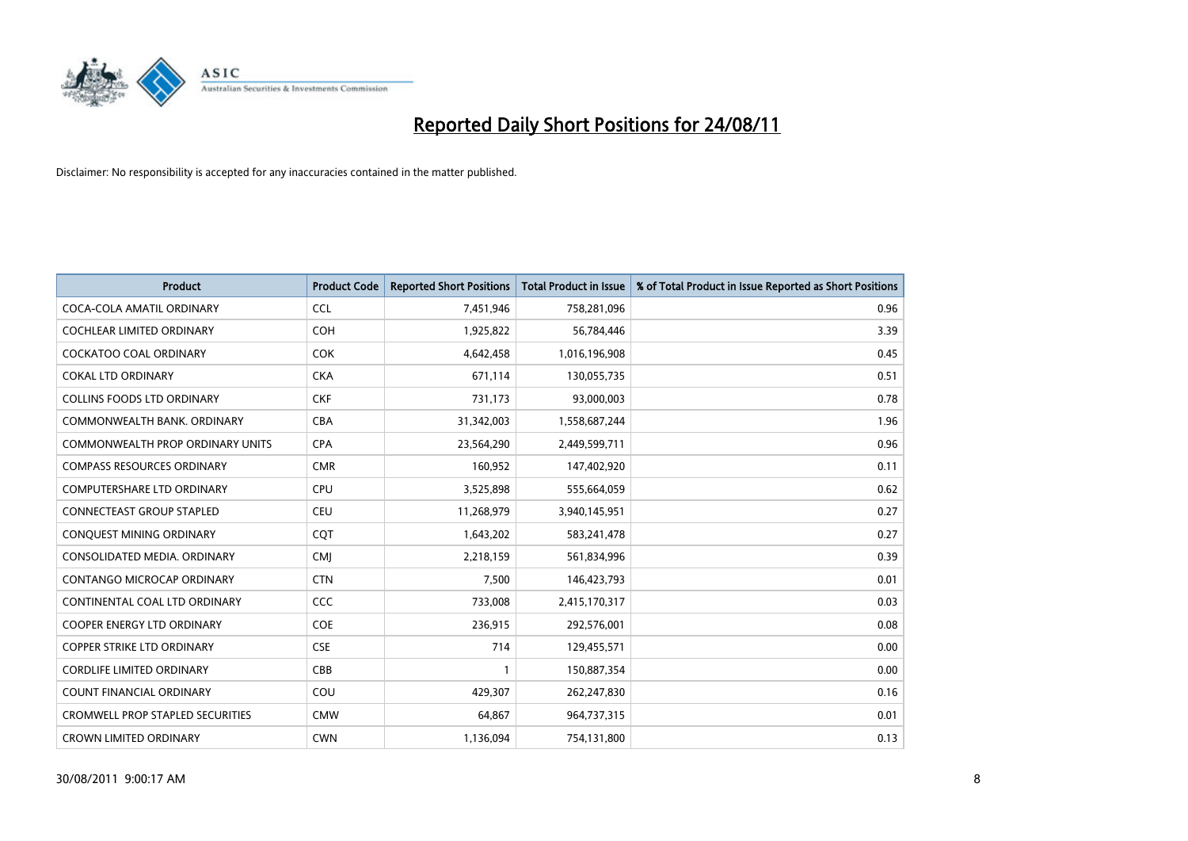

| <b>Product</b>                          | <b>Product Code</b> | <b>Reported Short Positions</b> | <b>Total Product in Issue</b> | % of Total Product in Issue Reported as Short Positions |
|-----------------------------------------|---------------------|---------------------------------|-------------------------------|---------------------------------------------------------|
| COCA-COLA AMATIL ORDINARY               | <b>CCL</b>          | 7,451,946                       | 758,281,096                   | 0.96                                                    |
| COCHLEAR LIMITED ORDINARY               | <b>COH</b>          | 1,925,822                       | 56,784,446                    | 3.39                                                    |
| <b>COCKATOO COAL ORDINARY</b>           | <b>COK</b>          | 4,642,458                       | 1,016,196,908                 | 0.45                                                    |
| <b>COKAL LTD ORDINARY</b>               | <b>CKA</b>          | 671,114                         | 130,055,735                   | 0.51                                                    |
| <b>COLLINS FOODS LTD ORDINARY</b>       | <b>CKF</b>          | 731,173                         | 93,000,003                    | 0.78                                                    |
| COMMONWEALTH BANK, ORDINARY             | <b>CBA</b>          | 31,342,003                      | 1,558,687,244                 | 1.96                                                    |
| COMMONWEALTH PROP ORDINARY UNITS        | <b>CPA</b>          | 23,564,290                      | 2,449,599,711                 | 0.96                                                    |
| <b>COMPASS RESOURCES ORDINARY</b>       | <b>CMR</b>          | 160,952                         | 147,402,920                   | 0.11                                                    |
| <b>COMPUTERSHARE LTD ORDINARY</b>       | <b>CPU</b>          | 3,525,898                       | 555,664,059                   | 0.62                                                    |
| <b>CONNECTEAST GROUP STAPLED</b>        | <b>CEU</b>          | 11,268,979                      | 3,940,145,951                 | 0.27                                                    |
| CONQUEST MINING ORDINARY                | <b>COT</b>          | 1,643,202                       | 583,241,478                   | 0.27                                                    |
| CONSOLIDATED MEDIA, ORDINARY            | <b>CMJ</b>          | 2,218,159                       | 561,834,996                   | 0.39                                                    |
| CONTANGO MICROCAP ORDINARY              | <b>CTN</b>          | 7,500                           | 146,423,793                   | 0.01                                                    |
| CONTINENTAL COAL LTD ORDINARY           | CCC                 | 733,008                         | 2,415,170,317                 | 0.03                                                    |
| <b>COOPER ENERGY LTD ORDINARY</b>       | <b>COE</b>          | 236,915                         | 292,576,001                   | 0.08                                                    |
| COPPER STRIKE LTD ORDINARY              | <b>CSE</b>          | 714                             | 129,455,571                   | 0.00                                                    |
| <b>CORDLIFE LIMITED ORDINARY</b>        | CBB                 |                                 | 150,887,354                   | 0.00                                                    |
| COUNT FINANCIAL ORDINARY                | COU                 | 429,307                         | 262,247,830                   | 0.16                                                    |
| <b>CROMWELL PROP STAPLED SECURITIES</b> | <b>CMW</b>          | 64,867                          | 964,737,315                   | 0.01                                                    |
| <b>CROWN LIMITED ORDINARY</b>           | <b>CWN</b>          | 1,136,094                       | 754,131,800                   | 0.13                                                    |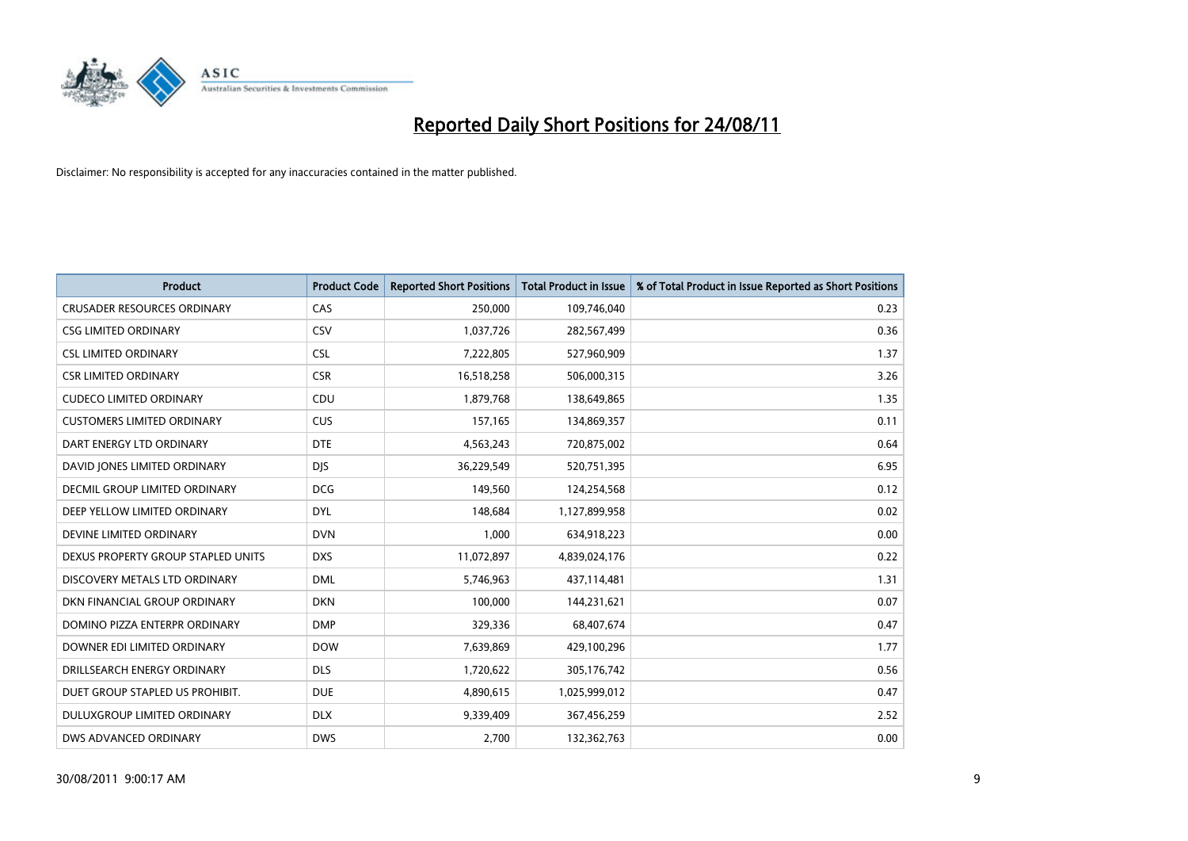

| <b>Product</b>                     | <b>Product Code</b> | <b>Reported Short Positions</b> | <b>Total Product in Issue</b> | % of Total Product in Issue Reported as Short Positions |
|------------------------------------|---------------------|---------------------------------|-------------------------------|---------------------------------------------------------|
| <b>CRUSADER RESOURCES ORDINARY</b> | CAS                 | 250,000                         | 109,746,040                   | 0.23                                                    |
| <b>CSG LIMITED ORDINARY</b>        | CSV                 | 1,037,726                       | 282,567,499                   | 0.36                                                    |
| <b>CSL LIMITED ORDINARY</b>        | <b>CSL</b>          | 7,222,805                       | 527,960,909                   | 1.37                                                    |
| <b>CSR LIMITED ORDINARY</b>        | <b>CSR</b>          | 16,518,258                      | 506,000,315                   | 3.26                                                    |
| <b>CUDECO LIMITED ORDINARY</b>     | CDU                 | 1,879,768                       | 138,649,865                   | 1.35                                                    |
| <b>CUSTOMERS LIMITED ORDINARY</b>  | <b>CUS</b>          | 157,165                         | 134,869,357                   | 0.11                                                    |
| DART ENERGY LTD ORDINARY           | <b>DTE</b>          | 4,563,243                       | 720,875,002                   | 0.64                                                    |
| DAVID JONES LIMITED ORDINARY       | <b>DJS</b>          | 36,229,549                      | 520,751,395                   | 6.95                                                    |
| DECMIL GROUP LIMITED ORDINARY      | <b>DCG</b>          | 149,560                         | 124,254,568                   | 0.12                                                    |
| DEEP YELLOW LIMITED ORDINARY       | <b>DYL</b>          | 148,684                         | 1,127,899,958                 | 0.02                                                    |
| DEVINE LIMITED ORDINARY            | <b>DVN</b>          | 1,000                           | 634,918,223                   | 0.00                                                    |
| DEXUS PROPERTY GROUP STAPLED UNITS | <b>DXS</b>          | 11,072,897                      | 4,839,024,176                 | 0.22                                                    |
| DISCOVERY METALS LTD ORDINARY      | <b>DML</b>          | 5,746,963                       | 437,114,481                   | 1.31                                                    |
| DKN FINANCIAL GROUP ORDINARY       | <b>DKN</b>          | 100,000                         | 144,231,621                   | 0.07                                                    |
| DOMINO PIZZA ENTERPR ORDINARY      | <b>DMP</b>          | 329,336                         | 68,407,674                    | 0.47                                                    |
| DOWNER EDI LIMITED ORDINARY        | <b>DOW</b>          | 7,639,869                       | 429,100,296                   | 1.77                                                    |
| DRILLSEARCH ENERGY ORDINARY        | <b>DLS</b>          | 1,720,622                       | 305,176,742                   | 0.56                                                    |
| DUET GROUP STAPLED US PROHIBIT.    | <b>DUE</b>          | 4,890,615                       | 1,025,999,012                 | 0.47                                                    |
| DULUXGROUP LIMITED ORDINARY        | <b>DLX</b>          | 9,339,409                       | 367,456,259                   | 2.52                                                    |
| DWS ADVANCED ORDINARY              | <b>DWS</b>          | 2.700                           | 132,362,763                   | 0.00                                                    |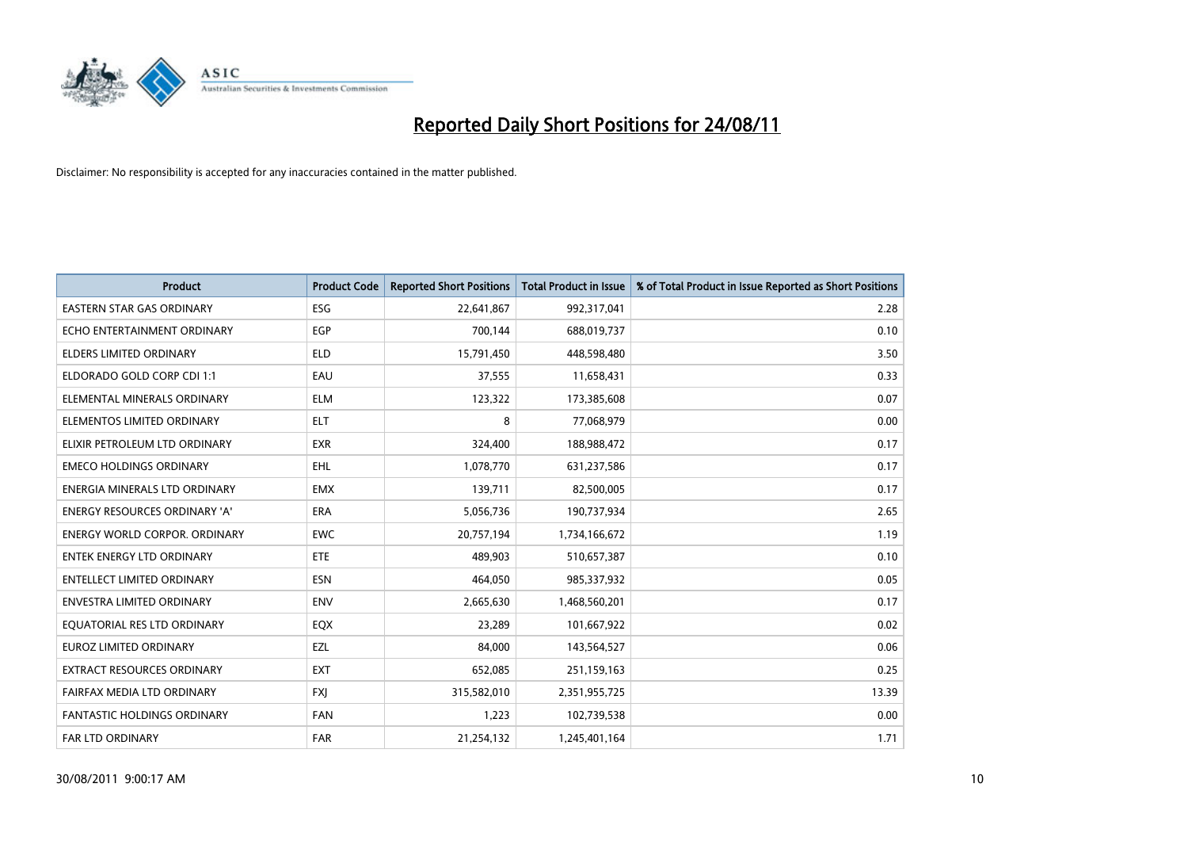

| <b>Product</b>                       | <b>Product Code</b> | <b>Reported Short Positions</b> | <b>Total Product in Issue</b> | % of Total Product in Issue Reported as Short Positions |
|--------------------------------------|---------------------|---------------------------------|-------------------------------|---------------------------------------------------------|
| <b>EASTERN STAR GAS ORDINARY</b>     | <b>ESG</b>          | 22,641,867                      | 992,317,041                   | 2.28                                                    |
| ECHO ENTERTAINMENT ORDINARY          | <b>EGP</b>          | 700,144                         | 688,019,737                   | 0.10                                                    |
| ELDERS LIMITED ORDINARY              | <b>ELD</b>          | 15,791,450                      | 448,598,480                   | 3.50                                                    |
| ELDORADO GOLD CORP CDI 1:1           | EAU                 | 37,555                          | 11,658,431                    | 0.33                                                    |
| ELEMENTAL MINERALS ORDINARY          | <b>ELM</b>          | 123,322                         | 173,385,608                   | 0.07                                                    |
| ELEMENTOS LIMITED ORDINARY           | <b>ELT</b>          | 8                               | 77,068,979                    | 0.00                                                    |
| ELIXIR PETROLEUM LTD ORDINARY        | <b>EXR</b>          | 324,400                         | 188,988,472                   | 0.17                                                    |
| <b>EMECO HOLDINGS ORDINARY</b>       | EHL                 | 1,078,770                       | 631,237,586                   | 0.17                                                    |
| ENERGIA MINERALS LTD ORDINARY        | <b>EMX</b>          | 139,711                         | 82,500,005                    | 0.17                                                    |
| <b>ENERGY RESOURCES ORDINARY 'A'</b> | ERA                 | 5,056,736                       | 190,737,934                   | 2.65                                                    |
| ENERGY WORLD CORPOR. ORDINARY        | <b>EWC</b>          | 20,757,194                      | 1,734,166,672                 | 1.19                                                    |
| ENTEK ENERGY LTD ORDINARY            | ETE                 | 489,903                         | 510,657,387                   | 0.10                                                    |
| <b>ENTELLECT LIMITED ORDINARY</b>    | <b>ESN</b>          | 464,050                         | 985,337,932                   | 0.05                                                    |
| <b>ENVESTRA LIMITED ORDINARY</b>     | <b>ENV</b>          | 2,665,630                       | 1,468,560,201                 | 0.17                                                    |
| EQUATORIAL RES LTD ORDINARY          | EQX                 | 23,289                          | 101,667,922                   | 0.02                                                    |
| <b>EUROZ LIMITED ORDINARY</b>        | EZL                 | 84,000                          | 143,564,527                   | 0.06                                                    |
| EXTRACT RESOURCES ORDINARY           | <b>EXT</b>          | 652,085                         | 251,159,163                   | 0.25                                                    |
| FAIRFAX MEDIA LTD ORDINARY           | <b>FXI</b>          | 315,582,010                     | 2,351,955,725                 | 13.39                                                   |
| <b>FANTASTIC HOLDINGS ORDINARY</b>   | <b>FAN</b>          | 1,223                           | 102,739,538                   | 0.00                                                    |
| <b>FAR LTD ORDINARY</b>              | <b>FAR</b>          | 21,254,132                      | 1,245,401,164                 | 1.71                                                    |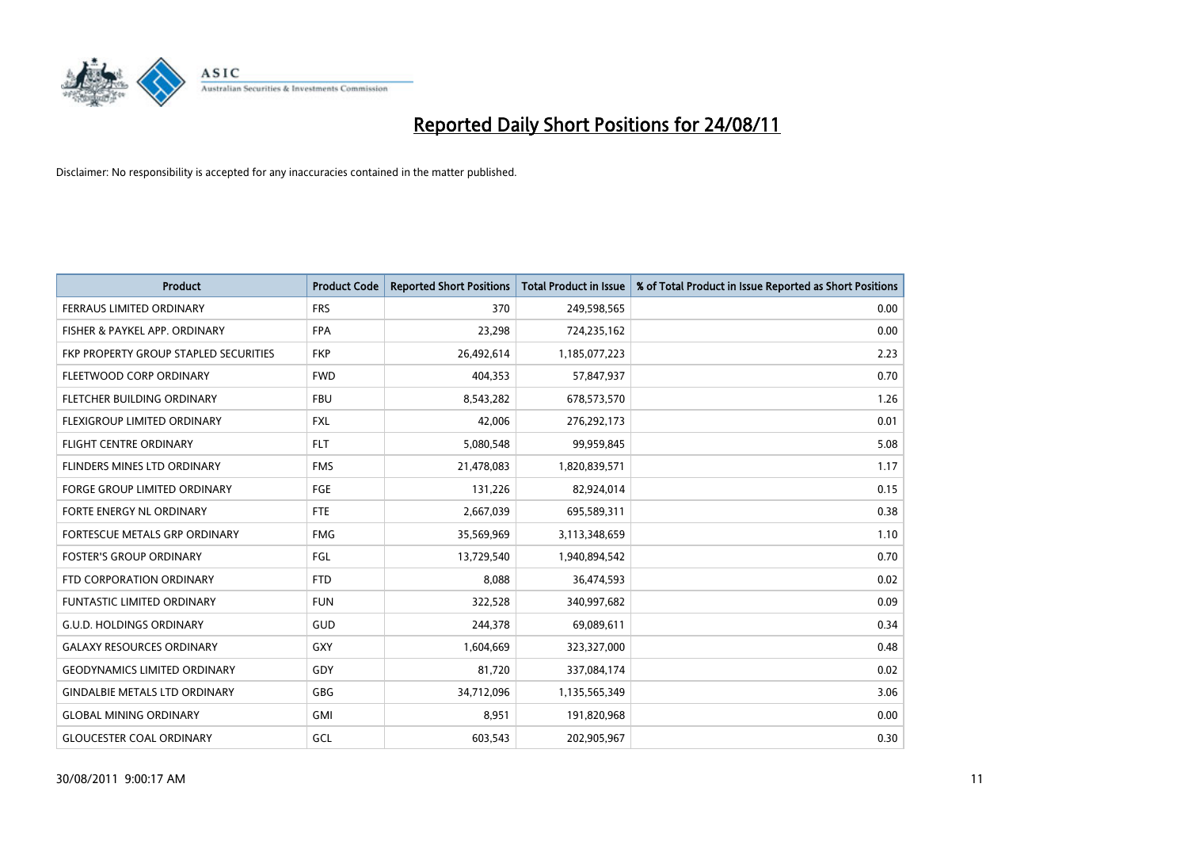

| <b>Product</b>                        | <b>Product Code</b> | <b>Reported Short Positions</b> | <b>Total Product in Issue</b> | % of Total Product in Issue Reported as Short Positions |
|---------------------------------------|---------------------|---------------------------------|-------------------------------|---------------------------------------------------------|
| FERRAUS LIMITED ORDINARY              | <b>FRS</b>          | 370                             | 249,598,565                   | 0.00                                                    |
| FISHER & PAYKEL APP. ORDINARY         | <b>FPA</b>          | 23,298                          | 724,235,162                   | 0.00                                                    |
| FKP PROPERTY GROUP STAPLED SECURITIES | <b>FKP</b>          | 26,492,614                      | 1,185,077,223                 | 2.23                                                    |
| FLEETWOOD CORP ORDINARY               | <b>FWD</b>          | 404,353                         | 57,847,937                    | 0.70                                                    |
| FLETCHER BUILDING ORDINARY            | <b>FBU</b>          | 8,543,282                       | 678,573,570                   | 1.26                                                    |
| FLEXIGROUP LIMITED ORDINARY           | <b>FXL</b>          | 42,006                          | 276,292,173                   | 0.01                                                    |
| <b>FLIGHT CENTRE ORDINARY</b>         | <b>FLT</b>          | 5,080,548                       | 99,959,845                    | 5.08                                                    |
| FLINDERS MINES LTD ORDINARY           | <b>FMS</b>          | 21,478,083                      | 1,820,839,571                 | 1.17                                                    |
| FORGE GROUP LIMITED ORDINARY          | FGE                 | 131,226                         | 82,924,014                    | 0.15                                                    |
| FORTE ENERGY NL ORDINARY              | <b>FTE</b>          | 2,667,039                       | 695,589,311                   | 0.38                                                    |
| FORTESCUE METALS GRP ORDINARY         | <b>FMG</b>          | 35,569,969                      | 3,113,348,659                 | 1.10                                                    |
| <b>FOSTER'S GROUP ORDINARY</b>        | FGL                 | 13,729,540                      | 1,940,894,542                 | 0.70                                                    |
| FTD CORPORATION ORDINARY              | <b>FTD</b>          | 8,088                           | 36,474,593                    | 0.02                                                    |
| <b>FUNTASTIC LIMITED ORDINARY</b>     | <b>FUN</b>          | 322,528                         | 340,997,682                   | 0.09                                                    |
| <b>G.U.D. HOLDINGS ORDINARY</b>       | GUD                 | 244,378                         | 69,089,611                    | 0.34                                                    |
| <b>GALAXY RESOURCES ORDINARY</b>      | GXY                 | 1,604,669                       | 323,327,000                   | 0.48                                                    |
| <b>GEODYNAMICS LIMITED ORDINARY</b>   | GDY                 | 81,720                          | 337,084,174                   | 0.02                                                    |
| <b>GINDALBIE METALS LTD ORDINARY</b>  | GBG                 | 34,712,096                      | 1,135,565,349                 | 3.06                                                    |
| <b>GLOBAL MINING ORDINARY</b>         | <b>GMI</b>          | 8,951                           | 191,820,968                   | 0.00                                                    |
| <b>GLOUCESTER COAL ORDINARY</b>       | GCL                 | 603,543                         | 202,905,967                   | 0.30                                                    |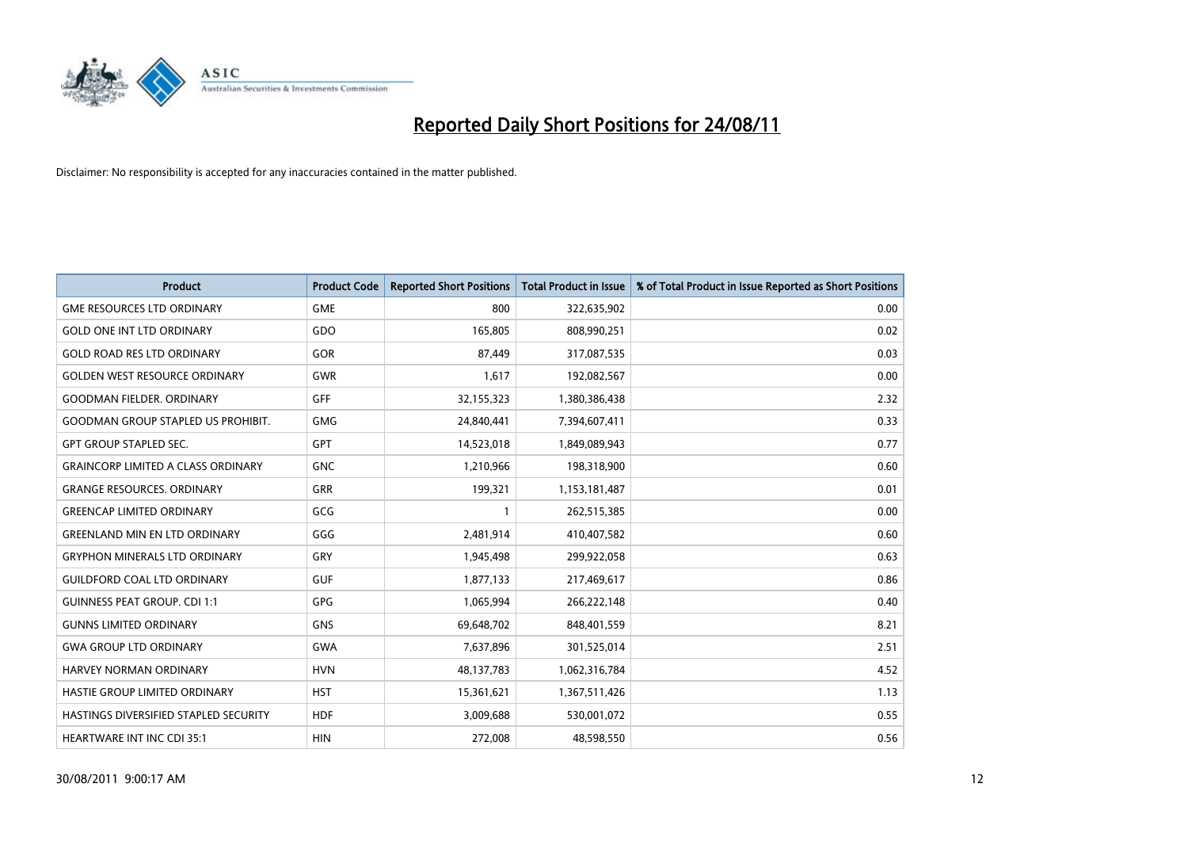

| <b>Product</b>                            | <b>Product Code</b> | <b>Reported Short Positions</b> | <b>Total Product in Issue</b> | % of Total Product in Issue Reported as Short Positions |
|-------------------------------------------|---------------------|---------------------------------|-------------------------------|---------------------------------------------------------|
| <b>GME RESOURCES LTD ORDINARY</b>         | <b>GME</b>          | 800                             | 322,635,902                   | 0.00                                                    |
| <b>GOLD ONE INT LTD ORDINARY</b>          | GDO                 | 165,805                         | 808,990,251                   | 0.02                                                    |
| <b>GOLD ROAD RES LTD ORDINARY</b>         | GOR                 | 87,449                          | 317,087,535                   | 0.03                                                    |
| <b>GOLDEN WEST RESOURCE ORDINARY</b>      | <b>GWR</b>          | 1,617                           | 192,082,567                   | 0.00                                                    |
| <b>GOODMAN FIELDER, ORDINARY</b>          | <b>GFF</b>          | 32,155,323                      | 1,380,386,438                 | 2.32                                                    |
| <b>GOODMAN GROUP STAPLED US PROHIBIT.</b> | <b>GMG</b>          | 24,840,441                      | 7,394,607,411                 | 0.33                                                    |
| <b>GPT GROUP STAPLED SEC.</b>             | <b>GPT</b>          | 14,523,018                      | 1,849,089,943                 | 0.77                                                    |
| <b>GRAINCORP LIMITED A CLASS ORDINARY</b> | <b>GNC</b>          | 1,210,966                       | 198,318,900                   | 0.60                                                    |
| <b>GRANGE RESOURCES, ORDINARY</b>         | <b>GRR</b>          | 199,321                         | 1,153,181,487                 | 0.01                                                    |
| <b>GREENCAP LIMITED ORDINARY</b>          | GCG                 |                                 | 262,515,385                   | 0.00                                                    |
| <b>GREENLAND MIN EN LTD ORDINARY</b>      | GGG                 | 2,481,914                       | 410,407,582                   | 0.60                                                    |
| <b>GRYPHON MINERALS LTD ORDINARY</b>      | GRY                 | 1,945,498                       | 299,922,058                   | 0.63                                                    |
| <b>GUILDFORD COAL LTD ORDINARY</b>        | <b>GUF</b>          | 1,877,133                       | 217,469,617                   | 0.86                                                    |
| <b>GUINNESS PEAT GROUP. CDI 1:1</b>       | GPG                 | 1,065,994                       | 266,222,148                   | 0.40                                                    |
| <b>GUNNS LIMITED ORDINARY</b>             | <b>GNS</b>          | 69,648,702                      | 848,401,559                   | 8.21                                                    |
| <b>GWA GROUP LTD ORDINARY</b>             | <b>GWA</b>          | 7,637,896                       | 301,525,014                   | 2.51                                                    |
| HARVEY NORMAN ORDINARY                    | <b>HVN</b>          | 48,137,783                      | 1,062,316,784                 | 4.52                                                    |
| <b>HASTIE GROUP LIMITED ORDINARY</b>      | <b>HST</b>          | 15,361,621                      | 1,367,511,426                 | 1.13                                                    |
| HASTINGS DIVERSIFIED STAPLED SECURITY     | <b>HDF</b>          | 3,009,688                       | 530,001,072                   | 0.55                                                    |
| <b>HEARTWARE INT INC CDI 35:1</b>         | <b>HIN</b>          | 272,008                         | 48,598,550                    | 0.56                                                    |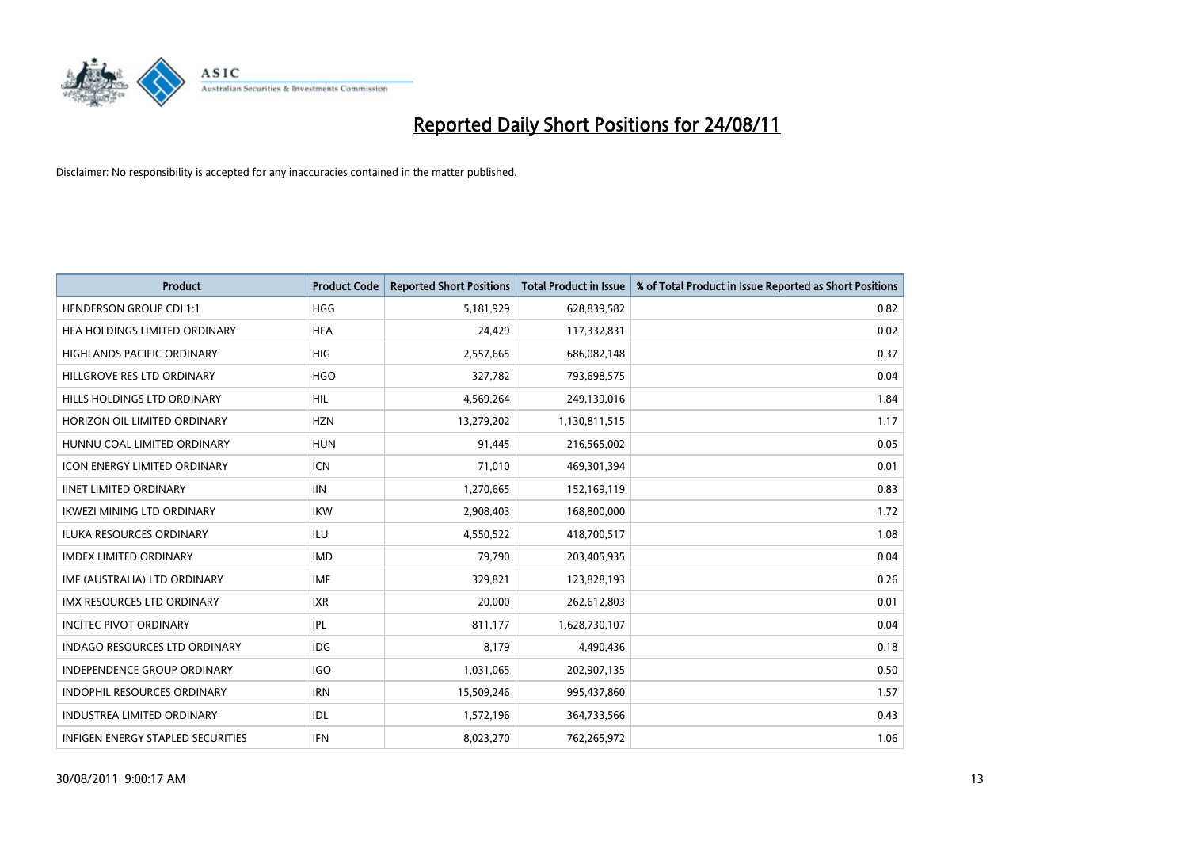

| <b>Product</b>                           | <b>Product Code</b> | <b>Reported Short Positions</b> | <b>Total Product in Issue</b> | % of Total Product in Issue Reported as Short Positions |
|------------------------------------------|---------------------|---------------------------------|-------------------------------|---------------------------------------------------------|
| <b>HENDERSON GROUP CDI 1:1</b>           | <b>HGG</b>          | 5,181,929                       | 628,839,582                   | 0.82                                                    |
| HFA HOLDINGS LIMITED ORDINARY            | <b>HFA</b>          | 24.429                          | 117,332,831                   | 0.02                                                    |
| <b>HIGHLANDS PACIFIC ORDINARY</b>        | <b>HIG</b>          | 2,557,665                       | 686,082,148                   | 0.37                                                    |
| HILLGROVE RES LTD ORDINARY               | <b>HGO</b>          | 327,782                         | 793,698,575                   | 0.04                                                    |
| HILLS HOLDINGS LTD ORDINARY              | <b>HIL</b>          | 4,569,264                       | 249,139,016                   | 1.84                                                    |
| HORIZON OIL LIMITED ORDINARY             | <b>HZN</b>          | 13,279,202                      | 1,130,811,515                 | 1.17                                                    |
| HUNNU COAL LIMITED ORDINARY              | <b>HUN</b>          | 91,445                          | 216,565,002                   | 0.05                                                    |
| <b>ICON ENERGY LIMITED ORDINARY</b>      | <b>ICN</b>          | 71,010                          | 469,301,394                   | 0.01                                                    |
| <b>IINET LIMITED ORDINARY</b>            | <b>IIN</b>          | 1,270,665                       | 152,169,119                   | 0.83                                                    |
| <b>IKWEZI MINING LTD ORDINARY</b>        | <b>IKW</b>          | 2,908,403                       | 168,800,000                   | 1.72                                                    |
| <b>ILUKA RESOURCES ORDINARY</b>          | <b>ILU</b>          | 4,550,522                       | 418,700,517                   | 1.08                                                    |
| <b>IMDEX LIMITED ORDINARY</b>            | <b>IMD</b>          | 79,790                          | 203,405,935                   | 0.04                                                    |
| IMF (AUSTRALIA) LTD ORDINARY             | <b>IMF</b>          | 329.821                         | 123,828,193                   | 0.26                                                    |
| <b>IMX RESOURCES LTD ORDINARY</b>        | <b>IXR</b>          | 20.000                          | 262,612,803                   | 0.01                                                    |
| <b>INCITEC PIVOT ORDINARY</b>            | <b>IPL</b>          | 811,177                         | 1,628,730,107                 | 0.04                                                    |
| <b>INDAGO RESOURCES LTD ORDINARY</b>     | IDG                 | 8,179                           | 4,490,436                     | 0.18                                                    |
| <b>INDEPENDENCE GROUP ORDINARY</b>       | <b>IGO</b>          | 1,031,065                       | 202,907,135                   | 0.50                                                    |
| INDOPHIL RESOURCES ORDINARY              | <b>IRN</b>          | 15,509,246                      | 995,437,860                   | 1.57                                                    |
| <b>INDUSTREA LIMITED ORDINARY</b>        | IDL                 | 1,572,196                       | 364,733,566                   | 0.43                                                    |
| <b>INFIGEN ENERGY STAPLED SECURITIES</b> | <b>IFN</b>          | 8,023,270                       | 762,265,972                   | 1.06                                                    |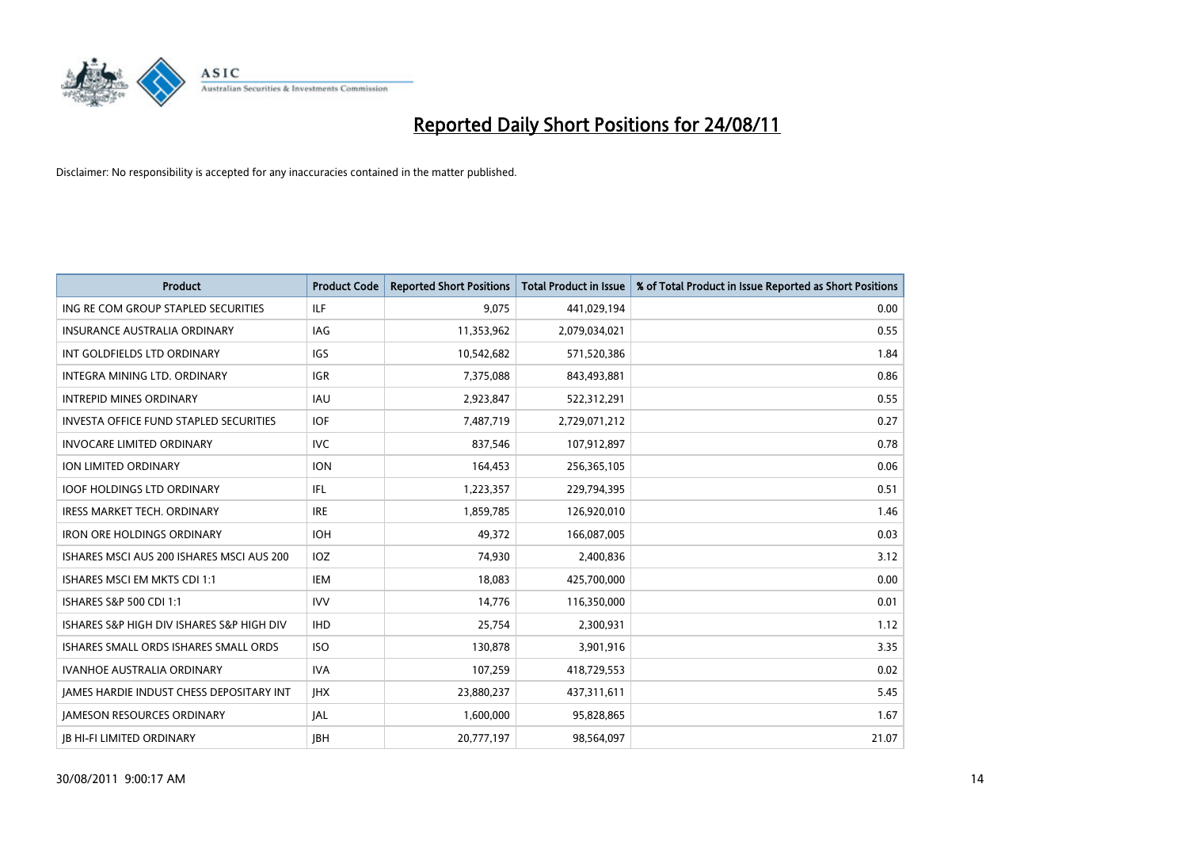

| <b>Product</b>                                | <b>Product Code</b> | <b>Reported Short Positions</b> | <b>Total Product in Issue</b> | % of Total Product in Issue Reported as Short Positions |
|-----------------------------------------------|---------------------|---------------------------------|-------------------------------|---------------------------------------------------------|
| ING RE COM GROUP STAPLED SECURITIES           | ILF                 | 9,075                           | 441,029,194                   | 0.00                                                    |
| INSURANCE AUSTRALIA ORDINARY                  | <b>IAG</b>          | 11,353,962                      | 2,079,034,021                 | 0.55                                                    |
| INT GOLDFIELDS LTD ORDINARY                   | <b>IGS</b>          | 10,542,682                      | 571,520,386                   | 1.84                                                    |
| INTEGRA MINING LTD, ORDINARY                  | <b>IGR</b>          | 7,375,088                       | 843,493,881                   | 0.86                                                    |
| <b>INTREPID MINES ORDINARY</b>                | <b>IAU</b>          | 2,923,847                       | 522,312,291                   | 0.55                                                    |
| <b>INVESTA OFFICE FUND STAPLED SECURITIES</b> | <b>IOF</b>          | 7,487,719                       | 2,729,071,212                 | 0.27                                                    |
| <b>INVOCARE LIMITED ORDINARY</b>              | <b>IVC</b>          | 837,546                         | 107,912,897                   | 0.78                                                    |
| ION LIMITED ORDINARY                          | <b>ION</b>          | 164,453                         | 256,365,105                   | 0.06                                                    |
| <b>IOOF HOLDINGS LTD ORDINARY</b>             | IFL.                | 1,223,357                       | 229,794,395                   | 0.51                                                    |
| <b>IRESS MARKET TECH. ORDINARY</b>            | <b>IRE</b>          | 1,859,785                       | 126,920,010                   | 1.46                                                    |
| <b>IRON ORE HOLDINGS ORDINARY</b>             | <b>IOH</b>          | 49,372                          | 166,087,005                   | 0.03                                                    |
| ISHARES MSCI AUS 200 ISHARES MSCI AUS 200     | IOZ                 | 74,930                          | 2,400,836                     | 3.12                                                    |
| ISHARES MSCI EM MKTS CDI 1:1                  | <b>IEM</b>          | 18.083                          | 425,700,000                   | 0.00                                                    |
| ISHARES S&P 500 CDI 1:1                       | <b>IVV</b>          | 14,776                          | 116,350,000                   | 0.01                                                    |
| ISHARES S&P HIGH DIV ISHARES S&P HIGH DIV     | <b>IHD</b>          | 25,754                          | 2,300,931                     | 1.12                                                    |
| ISHARES SMALL ORDS ISHARES SMALL ORDS         | <b>ISO</b>          | 130,878                         | 3,901,916                     | 3.35                                                    |
| <b>IVANHOE AUSTRALIA ORDINARY</b>             | <b>IVA</b>          | 107,259                         | 418,729,553                   | 0.02                                                    |
| JAMES HARDIE INDUST CHESS DEPOSITARY INT      | <b>IHX</b>          | 23,880,237                      | 437,311,611                   | 5.45                                                    |
| <b>JAMESON RESOURCES ORDINARY</b>             | <b>JAL</b>          | 1,600,000                       | 95,828,865                    | 1.67                                                    |
| <b>JB HI-FI LIMITED ORDINARY</b>              | <b>IBH</b>          | 20,777,197                      | 98,564,097                    | 21.07                                                   |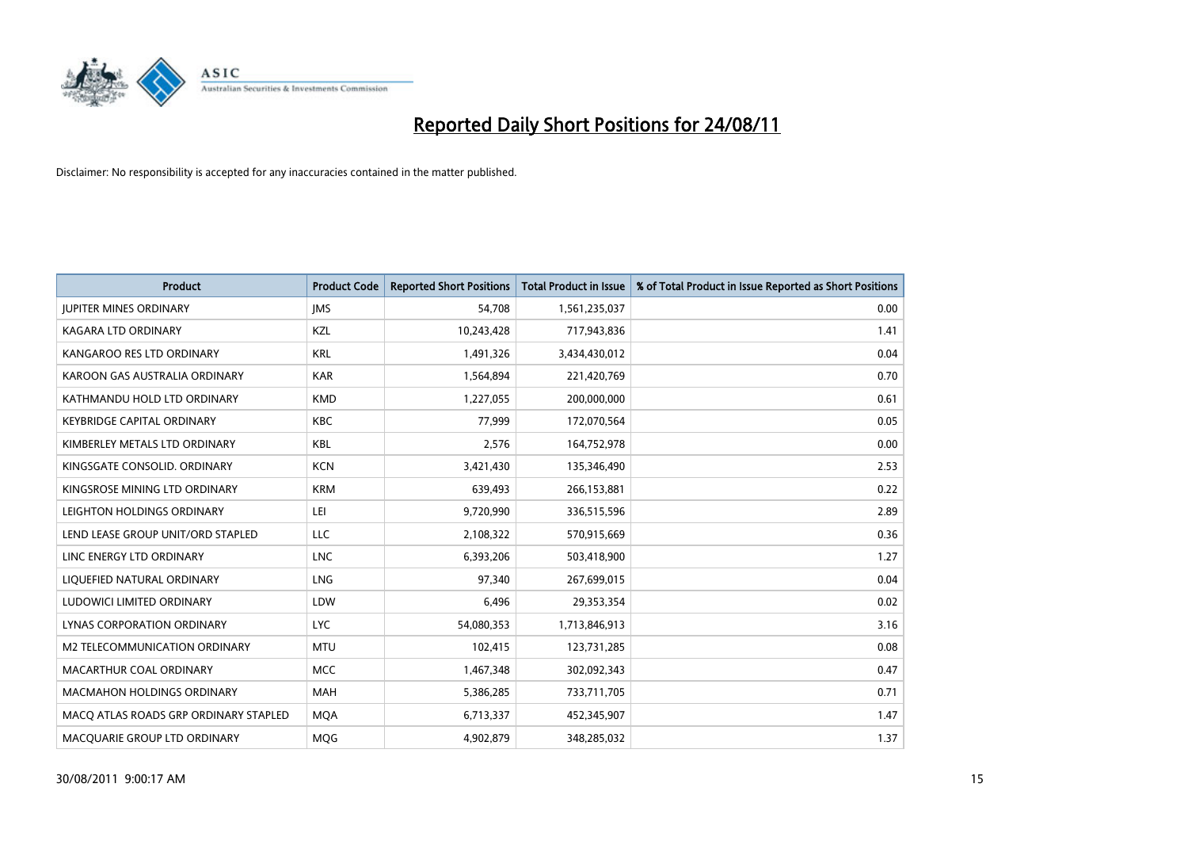

| <b>Product</b>                        | <b>Product Code</b> | <b>Reported Short Positions</b> | Total Product in Issue | % of Total Product in Issue Reported as Short Positions |
|---------------------------------------|---------------------|---------------------------------|------------------------|---------------------------------------------------------|
| <b>JUPITER MINES ORDINARY</b>         | <b>IMS</b>          | 54,708                          | 1,561,235,037          | 0.00                                                    |
| KAGARA LTD ORDINARY                   | KZL                 | 10,243,428                      | 717,943,836            | 1.41                                                    |
| KANGAROO RES LTD ORDINARY             | <b>KRL</b>          | 1,491,326                       | 3,434,430,012          | 0.04                                                    |
| KAROON GAS AUSTRALIA ORDINARY         | <b>KAR</b>          | 1,564,894                       | 221,420,769            | 0.70                                                    |
| KATHMANDU HOLD LTD ORDINARY           | <b>KMD</b>          | 1,227,055                       | 200,000,000            | 0.61                                                    |
| <b>KEYBRIDGE CAPITAL ORDINARY</b>     | <b>KBC</b>          | 77,999                          | 172,070,564            | 0.05                                                    |
| KIMBERLEY METALS LTD ORDINARY         | <b>KBL</b>          | 2,576                           | 164,752,978            | 0.00                                                    |
| KINGSGATE CONSOLID. ORDINARY          | <b>KCN</b>          | 3,421,430                       | 135,346,490            | 2.53                                                    |
| KINGSROSE MINING LTD ORDINARY         | <b>KRM</b>          | 639,493                         | 266,153,881            | 0.22                                                    |
| LEIGHTON HOLDINGS ORDINARY            | LEI                 | 9,720,990                       | 336,515,596            | 2.89                                                    |
| LEND LEASE GROUP UNIT/ORD STAPLED     | LLC                 | 2,108,322                       | 570,915,669            | 0.36                                                    |
| LINC ENERGY LTD ORDINARY              | <b>LNC</b>          | 6,393,206                       | 503,418,900            | 1.27                                                    |
| LIQUEFIED NATURAL ORDINARY            | LNG                 | 97,340                          | 267,699,015            | 0.04                                                    |
| LUDOWICI LIMITED ORDINARY             | LDW                 | 6,496                           | 29,353,354             | 0.02                                                    |
| <b>LYNAS CORPORATION ORDINARY</b>     | <b>LYC</b>          | 54,080,353                      | 1,713,846,913          | 3.16                                                    |
| M2 TELECOMMUNICATION ORDINARY         | <b>MTU</b>          | 102,415                         | 123,731,285            | 0.08                                                    |
| MACARTHUR COAL ORDINARY               | <b>MCC</b>          | 1,467,348                       | 302,092,343            | 0.47                                                    |
| <b>MACMAHON HOLDINGS ORDINARY</b>     | <b>MAH</b>          | 5,386,285                       | 733,711,705            | 0.71                                                    |
| MACO ATLAS ROADS GRP ORDINARY STAPLED | <b>MOA</b>          | 6,713,337                       | 452,345,907            | 1.47                                                    |
| MACQUARIE GROUP LTD ORDINARY          | <b>MOG</b>          | 4.902.879                       | 348,285,032            | 1.37                                                    |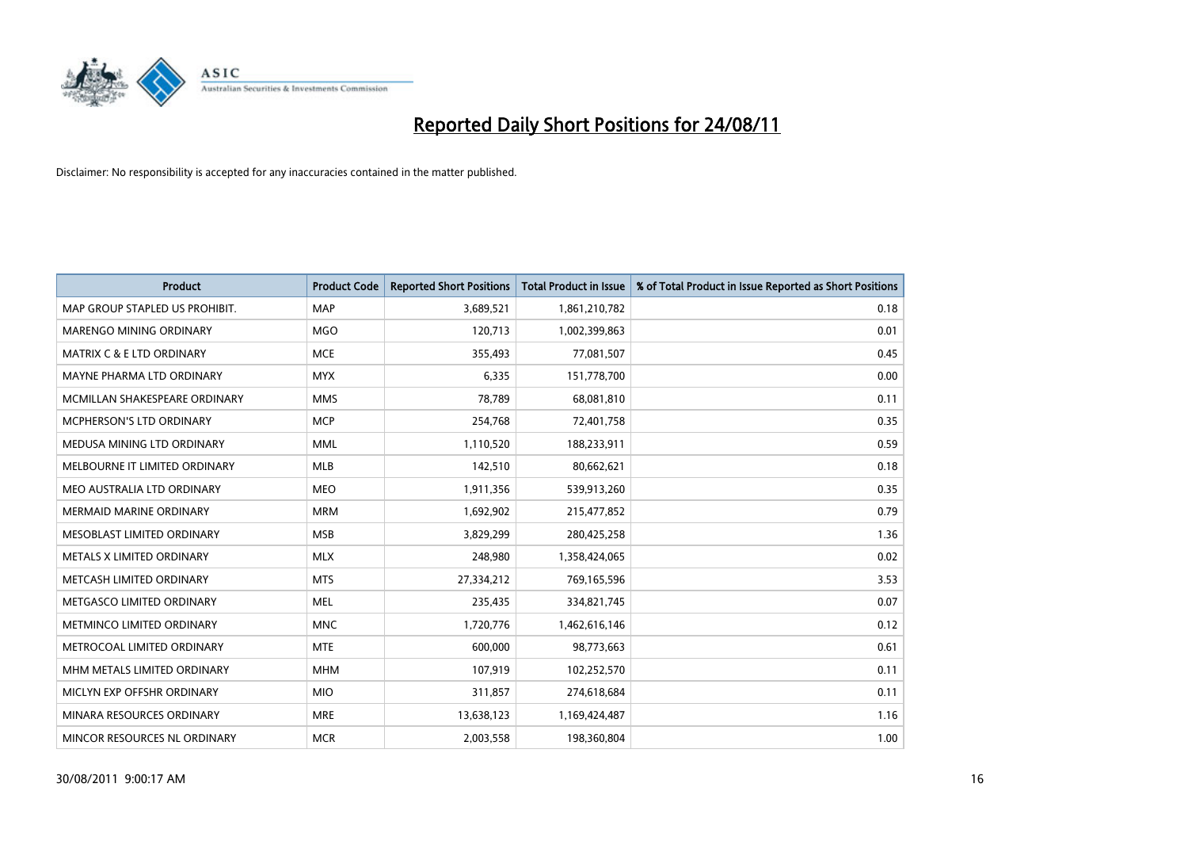

| <b>Product</b>                 | <b>Product Code</b> | <b>Reported Short Positions</b> | Total Product in Issue | % of Total Product in Issue Reported as Short Positions |
|--------------------------------|---------------------|---------------------------------|------------------------|---------------------------------------------------------|
| MAP GROUP STAPLED US PROHIBIT. | <b>MAP</b>          | 3,689,521                       | 1,861,210,782          | 0.18                                                    |
| MARENGO MINING ORDINARY        | <b>MGO</b>          | 120,713                         | 1,002,399,863          | 0.01                                                    |
| MATRIX C & E LTD ORDINARY      | <b>MCE</b>          | 355,493                         | 77,081,507             | 0.45                                                    |
| MAYNE PHARMA LTD ORDINARY      | <b>MYX</b>          | 6,335                           | 151,778,700            | 0.00                                                    |
| MCMILLAN SHAKESPEARE ORDINARY  | <b>MMS</b>          | 78,789                          | 68,081,810             | 0.11                                                    |
| MCPHERSON'S LTD ORDINARY       | <b>MCP</b>          | 254,768                         | 72,401,758             | 0.35                                                    |
| MEDUSA MINING LTD ORDINARY     | <b>MML</b>          | 1,110,520                       | 188,233,911            | 0.59                                                    |
| MELBOURNE IT LIMITED ORDINARY  | <b>MLB</b>          | 142,510                         | 80,662,621             | 0.18                                                    |
| MEO AUSTRALIA LTD ORDINARY     | <b>MEO</b>          | 1,911,356                       | 539,913,260            | 0.35                                                    |
| <b>MERMAID MARINE ORDINARY</b> | <b>MRM</b>          | 1,692,902                       | 215,477,852            | 0.79                                                    |
| MESOBLAST LIMITED ORDINARY     | <b>MSB</b>          | 3,829,299                       | 280,425,258            | 1.36                                                    |
| METALS X LIMITED ORDINARY      | <b>MLX</b>          | 248,980                         | 1,358,424,065          | 0.02                                                    |
| METCASH LIMITED ORDINARY       | <b>MTS</b>          | 27,334,212                      | 769,165,596            | 3.53                                                    |
| METGASCO LIMITED ORDINARY      | <b>MEL</b>          | 235,435                         | 334,821,745            | 0.07                                                    |
| METMINCO LIMITED ORDINARY      | <b>MNC</b>          | 1,720,776                       | 1,462,616,146          | 0.12                                                    |
| METROCOAL LIMITED ORDINARY     | <b>MTE</b>          | 600,000                         | 98,773,663             | 0.61                                                    |
| MHM METALS LIMITED ORDINARY    | <b>MHM</b>          | 107,919                         | 102,252,570            | 0.11                                                    |
| MICLYN EXP OFFSHR ORDINARY     | <b>MIO</b>          | 311,857                         | 274,618,684            | 0.11                                                    |
| MINARA RESOURCES ORDINARY      | <b>MRE</b>          | 13,638,123                      | 1,169,424,487          | 1.16                                                    |
| MINCOR RESOURCES NL ORDINARY   | <b>MCR</b>          | 2,003,558                       | 198,360,804            | 1.00                                                    |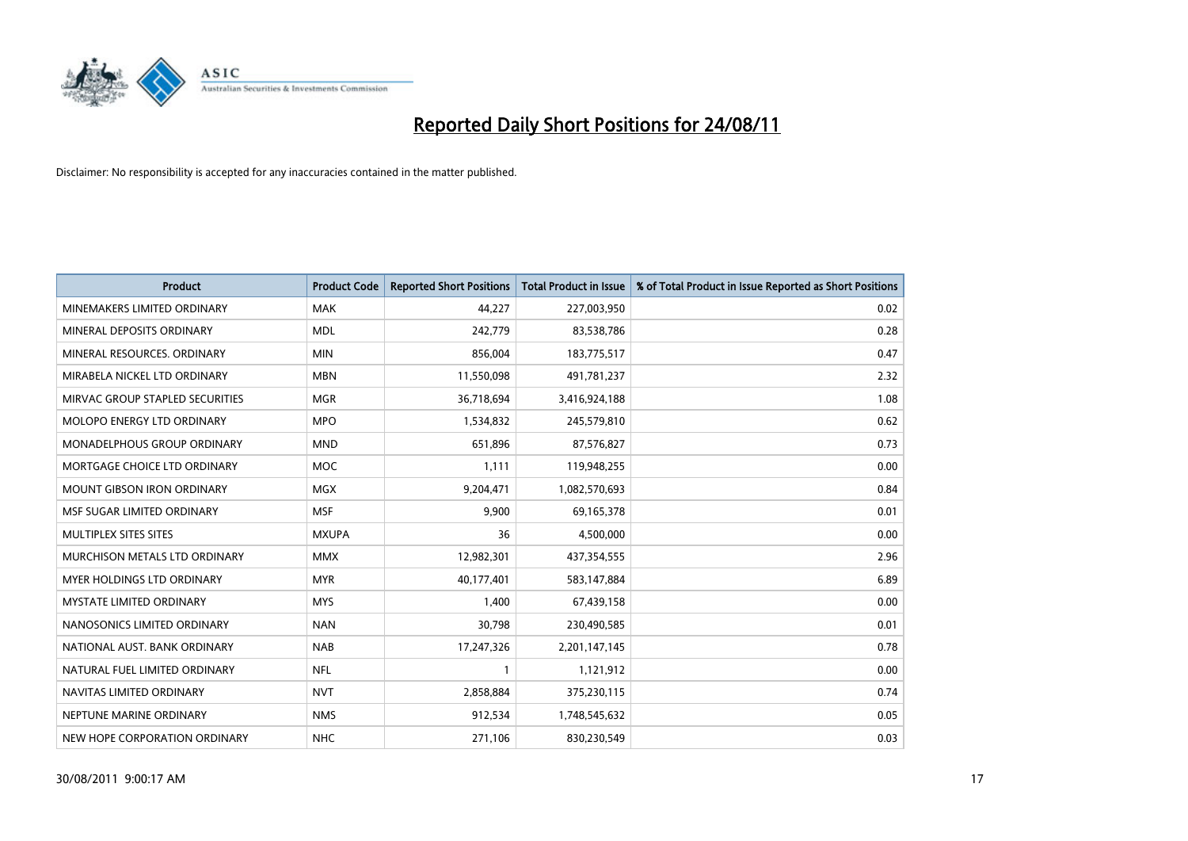

| <b>Product</b>                    | <b>Product Code</b> | <b>Reported Short Positions</b> | Total Product in Issue | % of Total Product in Issue Reported as Short Positions |
|-----------------------------------|---------------------|---------------------------------|------------------------|---------------------------------------------------------|
| MINEMAKERS LIMITED ORDINARY       | <b>MAK</b>          | 44,227                          | 227,003,950            | 0.02                                                    |
| MINERAL DEPOSITS ORDINARY         | <b>MDL</b>          | 242,779                         | 83,538,786             | 0.28                                                    |
| MINERAL RESOURCES, ORDINARY       | <b>MIN</b>          | 856,004                         | 183,775,517            | 0.47                                                    |
| MIRABELA NICKEL LTD ORDINARY      | <b>MBN</b>          | 11,550,098                      | 491,781,237            | 2.32                                                    |
| MIRVAC GROUP STAPLED SECURITIES   | <b>MGR</b>          | 36,718,694                      | 3,416,924,188          | 1.08                                                    |
| <b>MOLOPO ENERGY LTD ORDINARY</b> | <b>MPO</b>          | 1,534,832                       | 245,579,810            | 0.62                                                    |
| MONADELPHOUS GROUP ORDINARY       | <b>MND</b>          | 651,896                         | 87,576,827             | 0.73                                                    |
| MORTGAGE CHOICE LTD ORDINARY      | <b>MOC</b>          | 1,111                           | 119,948,255            | 0.00                                                    |
| MOUNT GIBSON IRON ORDINARY        | <b>MGX</b>          | 9,204,471                       | 1,082,570,693          | 0.84                                                    |
| MSF SUGAR LIMITED ORDINARY        | <b>MSF</b>          | 9.900                           | 69,165,378             | 0.01                                                    |
| MULTIPLEX SITES SITES             | <b>MXUPA</b>        | 36                              | 4,500,000              | 0.00                                                    |
| MURCHISON METALS LTD ORDINARY     | <b>MMX</b>          | 12,982,301                      | 437,354,555            | 2.96                                                    |
| <b>MYER HOLDINGS LTD ORDINARY</b> | <b>MYR</b>          | 40,177,401                      | 583,147,884            | 6.89                                                    |
| <b>MYSTATE LIMITED ORDINARY</b>   | <b>MYS</b>          | 1,400                           | 67,439,158             | 0.00                                                    |
| NANOSONICS LIMITED ORDINARY       | <b>NAN</b>          | 30,798                          | 230,490,585            | 0.01                                                    |
| NATIONAL AUST. BANK ORDINARY      | <b>NAB</b>          | 17,247,326                      | 2,201,147,145          | 0.78                                                    |
| NATURAL FUEL LIMITED ORDINARY     | <b>NFL</b>          |                                 | 1,121,912              | 0.00                                                    |
| NAVITAS LIMITED ORDINARY          | <b>NVT</b>          | 2,858,884                       | 375,230,115            | 0.74                                                    |
| NEPTUNE MARINE ORDINARY           | <b>NMS</b>          | 912,534                         | 1,748,545,632          | 0.05                                                    |
| NEW HOPE CORPORATION ORDINARY     | <b>NHC</b>          | 271.106                         | 830,230,549            | 0.03                                                    |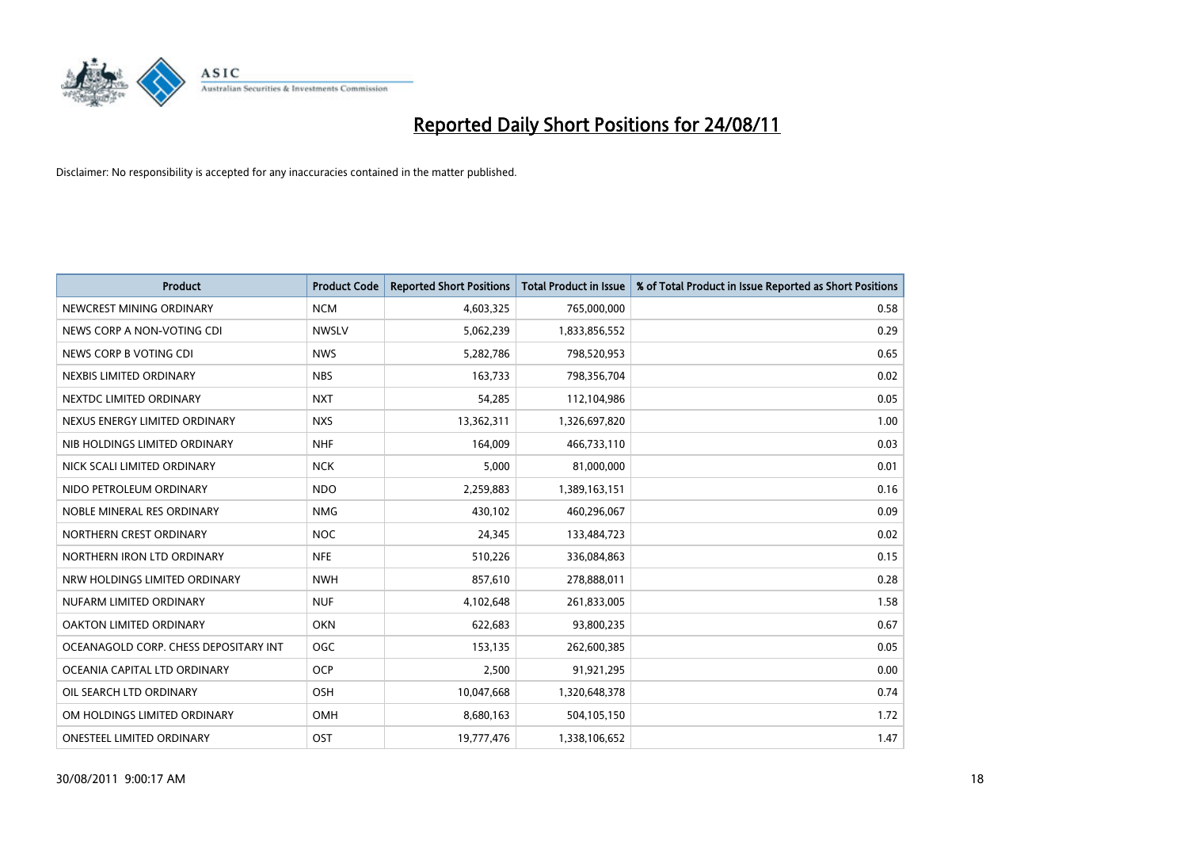

| <b>Product</b>                        | <b>Product Code</b> | <b>Reported Short Positions</b> | Total Product in Issue | % of Total Product in Issue Reported as Short Positions |
|---------------------------------------|---------------------|---------------------------------|------------------------|---------------------------------------------------------|
| NEWCREST MINING ORDINARY              | <b>NCM</b>          | 4,603,325                       | 765,000,000            | 0.58                                                    |
| NEWS CORP A NON-VOTING CDI            | <b>NWSLV</b>        | 5,062,239                       | 1,833,856,552          | 0.29                                                    |
| NEWS CORP B VOTING CDI                | <b>NWS</b>          | 5,282,786                       | 798,520,953            | 0.65                                                    |
| NEXBIS LIMITED ORDINARY               | <b>NBS</b>          | 163,733                         | 798,356,704            | 0.02                                                    |
| NEXTDC LIMITED ORDINARY               | <b>NXT</b>          | 54,285                          | 112,104,986            | 0.05                                                    |
| NEXUS ENERGY LIMITED ORDINARY         | <b>NXS</b>          | 13,362,311                      | 1,326,697,820          | 1.00                                                    |
| NIB HOLDINGS LIMITED ORDINARY         | <b>NHF</b>          | 164,009                         | 466,733,110            | 0.03                                                    |
| NICK SCALI LIMITED ORDINARY           | <b>NCK</b>          | 5,000                           | 81,000,000             | 0.01                                                    |
| NIDO PETROLEUM ORDINARY               | <b>NDO</b>          | 2,259,883                       | 1,389,163,151          | 0.16                                                    |
| NOBLE MINERAL RES ORDINARY            | <b>NMG</b>          | 430,102                         | 460,296,067            | 0.09                                                    |
| NORTHERN CREST ORDINARY               | <b>NOC</b>          | 24,345                          | 133,484,723            | 0.02                                                    |
| NORTHERN IRON LTD ORDINARY            | <b>NFE</b>          | 510,226                         | 336,084,863            | 0.15                                                    |
| NRW HOLDINGS LIMITED ORDINARY         | <b>NWH</b>          | 857,610                         | 278,888,011            | 0.28                                                    |
| NUFARM LIMITED ORDINARY               | <b>NUF</b>          | 4,102,648                       | 261,833,005            | 1.58                                                    |
| OAKTON LIMITED ORDINARY               | <b>OKN</b>          | 622,683                         | 93,800,235             | 0.67                                                    |
| OCEANAGOLD CORP. CHESS DEPOSITARY INT | OGC                 | 153,135                         | 262,600,385            | 0.05                                                    |
| OCEANIA CAPITAL LTD ORDINARY          | <b>OCP</b>          | 2,500                           | 91,921,295             | 0.00                                                    |
| OIL SEARCH LTD ORDINARY               | <b>OSH</b>          | 10,047,668                      | 1,320,648,378          | 0.74                                                    |
| OM HOLDINGS LIMITED ORDINARY          | OMH                 | 8,680,163                       | 504,105,150            | 1.72                                                    |
| ONESTEEL LIMITED ORDINARY             | OST                 | 19,777,476                      | 1,338,106,652          | 1.47                                                    |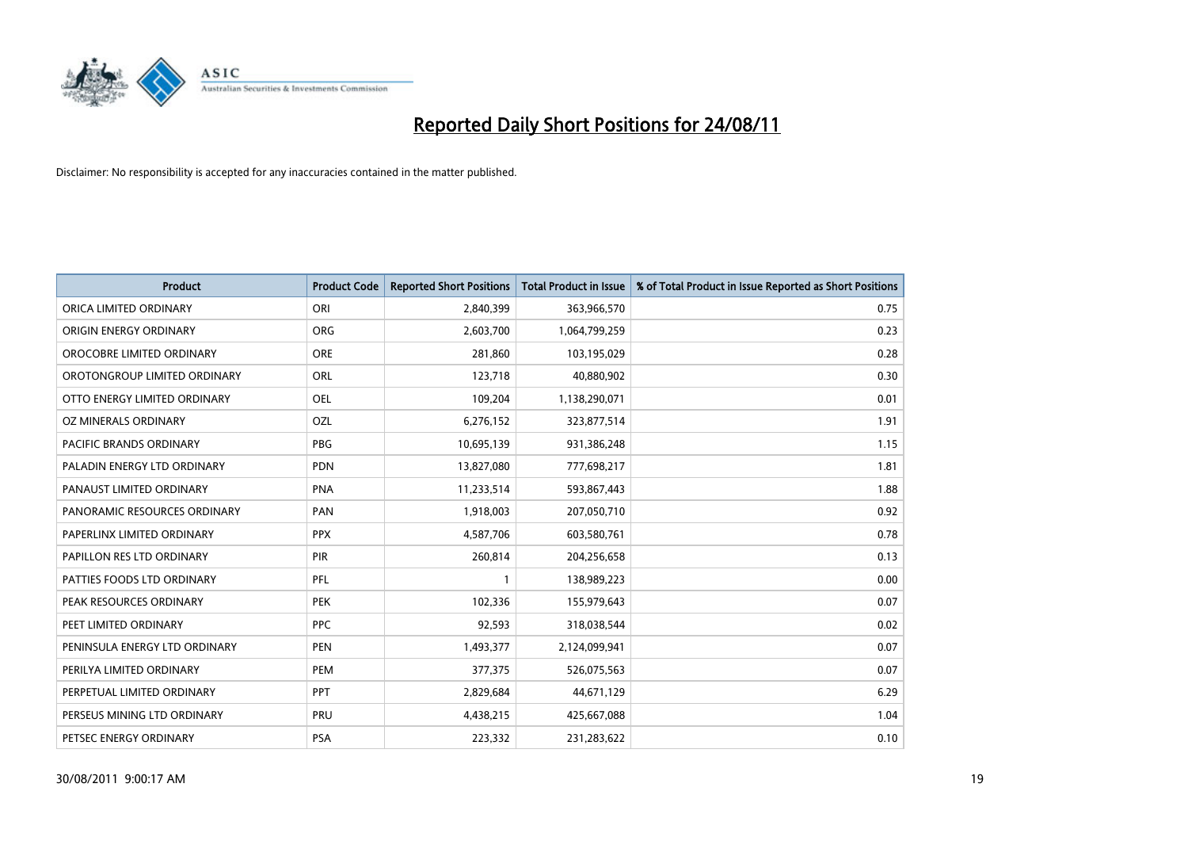

| <b>Product</b>                 | <b>Product Code</b> | <b>Reported Short Positions</b> | <b>Total Product in Issue</b> | % of Total Product in Issue Reported as Short Positions |
|--------------------------------|---------------------|---------------------------------|-------------------------------|---------------------------------------------------------|
| ORICA LIMITED ORDINARY         | ORI                 | 2,840,399                       | 363,966,570                   | 0.75                                                    |
| ORIGIN ENERGY ORDINARY         | <b>ORG</b>          | 2,603,700                       | 1,064,799,259                 | 0.23                                                    |
| OROCOBRE LIMITED ORDINARY      | <b>ORE</b>          | 281,860                         | 103,195,029                   | 0.28                                                    |
| OROTONGROUP LIMITED ORDINARY   | ORL                 | 123,718                         | 40,880,902                    | 0.30                                                    |
| OTTO ENERGY LIMITED ORDINARY   | OEL                 | 109,204                         | 1,138,290,071                 | 0.01                                                    |
| OZ MINERALS ORDINARY           | <b>OZL</b>          | 6,276,152                       | 323,877,514                   | 1.91                                                    |
| <b>PACIFIC BRANDS ORDINARY</b> | <b>PBG</b>          | 10,695,139                      | 931,386,248                   | 1.15                                                    |
| PALADIN ENERGY LTD ORDINARY    | <b>PDN</b>          | 13,827,080                      | 777,698,217                   | 1.81                                                    |
| PANAUST LIMITED ORDINARY       | <b>PNA</b>          | 11,233,514                      | 593,867,443                   | 1.88                                                    |
| PANORAMIC RESOURCES ORDINARY   | PAN                 | 1,918,003                       | 207,050,710                   | 0.92                                                    |
| PAPERLINX LIMITED ORDINARY     | <b>PPX</b>          | 4,587,706                       | 603,580,761                   | 0.78                                                    |
| PAPILLON RES LTD ORDINARY      | PIR                 | 260,814                         | 204,256,658                   | 0.13                                                    |
| PATTIES FOODS LTD ORDINARY     | PFL                 |                                 | 138,989,223                   | 0.00                                                    |
| PEAK RESOURCES ORDINARY        | <b>PEK</b>          | 102,336                         | 155,979,643                   | 0.07                                                    |
| PEET LIMITED ORDINARY          | <b>PPC</b>          | 92,593                          | 318,038,544                   | 0.02                                                    |
| PENINSULA ENERGY LTD ORDINARY  | <b>PEN</b>          | 1,493,377                       | 2,124,099,941                 | 0.07                                                    |
| PERILYA LIMITED ORDINARY       | PEM                 | 377,375                         | 526,075,563                   | 0.07                                                    |
| PERPETUAL LIMITED ORDINARY     | <b>PPT</b>          | 2,829,684                       | 44,671,129                    | 6.29                                                    |
| PERSEUS MINING LTD ORDINARY    | PRU                 | 4,438,215                       | 425,667,088                   | 1.04                                                    |
| PETSEC ENERGY ORDINARY         | PSA                 | 223,332                         | 231,283,622                   | 0.10                                                    |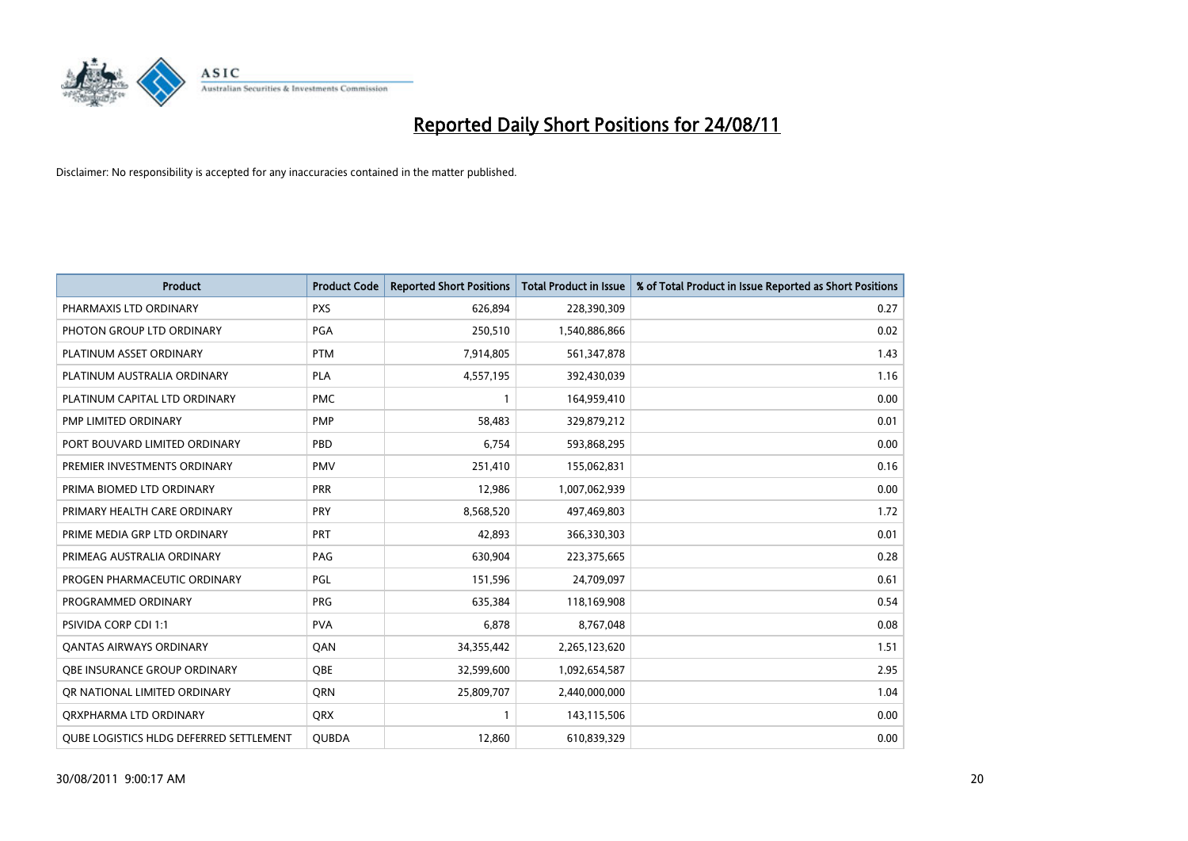

| <b>Product</b>                                 | <b>Product Code</b> | <b>Reported Short Positions</b> | <b>Total Product in Issue</b> | % of Total Product in Issue Reported as Short Positions |
|------------------------------------------------|---------------------|---------------------------------|-------------------------------|---------------------------------------------------------|
| PHARMAXIS LTD ORDINARY                         | <b>PXS</b>          | 626,894                         | 228,390,309                   | 0.27                                                    |
| PHOTON GROUP LTD ORDINARY                      | PGA                 | 250,510                         | 1,540,886,866                 | 0.02                                                    |
| PLATINUM ASSET ORDINARY                        | <b>PTM</b>          | 7,914,805                       | 561,347,878                   | 1.43                                                    |
| PLATINUM AUSTRALIA ORDINARY                    | PLA                 | 4,557,195                       | 392,430,039                   | 1.16                                                    |
| PLATINUM CAPITAL LTD ORDINARY                  | <b>PMC</b>          |                                 | 164,959,410                   | 0.00                                                    |
| PMP LIMITED ORDINARY                           | PMP                 | 58,483                          | 329,879,212                   | 0.01                                                    |
| PORT BOUVARD LIMITED ORDINARY                  | PBD                 | 6.754                           | 593,868,295                   | 0.00                                                    |
| PREMIER INVESTMENTS ORDINARY                   | <b>PMV</b>          | 251,410                         | 155,062,831                   | 0.16                                                    |
| PRIMA BIOMED LTD ORDINARY                      | <b>PRR</b>          | 12,986                          | 1,007,062,939                 | 0.00                                                    |
| PRIMARY HEALTH CARE ORDINARY                   | <b>PRY</b>          | 8,568,520                       | 497,469,803                   | 1.72                                                    |
| PRIME MEDIA GRP LTD ORDINARY                   | <b>PRT</b>          | 42,893                          | 366,330,303                   | 0.01                                                    |
| PRIMEAG AUSTRALIA ORDINARY                     | PAG                 | 630,904                         | 223,375,665                   | 0.28                                                    |
| PROGEN PHARMACEUTIC ORDINARY                   | PGL                 | 151,596                         | 24,709,097                    | 0.61                                                    |
| PROGRAMMED ORDINARY                            | <b>PRG</b>          | 635,384                         | 118,169,908                   | 0.54                                                    |
| PSIVIDA CORP CDI 1:1                           | <b>PVA</b>          | 6,878                           | 8,767,048                     | 0.08                                                    |
| <b>QANTAS AIRWAYS ORDINARY</b>                 | QAN                 | 34,355,442                      | 2,265,123,620                 | 1.51                                                    |
| <b>OBE INSURANCE GROUP ORDINARY</b>            | <b>QBE</b>          | 32,599,600                      | 1,092,654,587                 | 2.95                                                    |
| OR NATIONAL LIMITED ORDINARY                   | <b>ORN</b>          | 25,809,707                      | 2,440,000,000                 | 1.04                                                    |
| ORXPHARMA LTD ORDINARY                         | <b>ORX</b>          |                                 | 143,115,506                   | 0.00                                                    |
| <b>OUBE LOGISTICS HLDG DEFERRED SETTLEMENT</b> | <b>QUBDA</b>        | 12,860                          | 610,839,329                   | 0.00                                                    |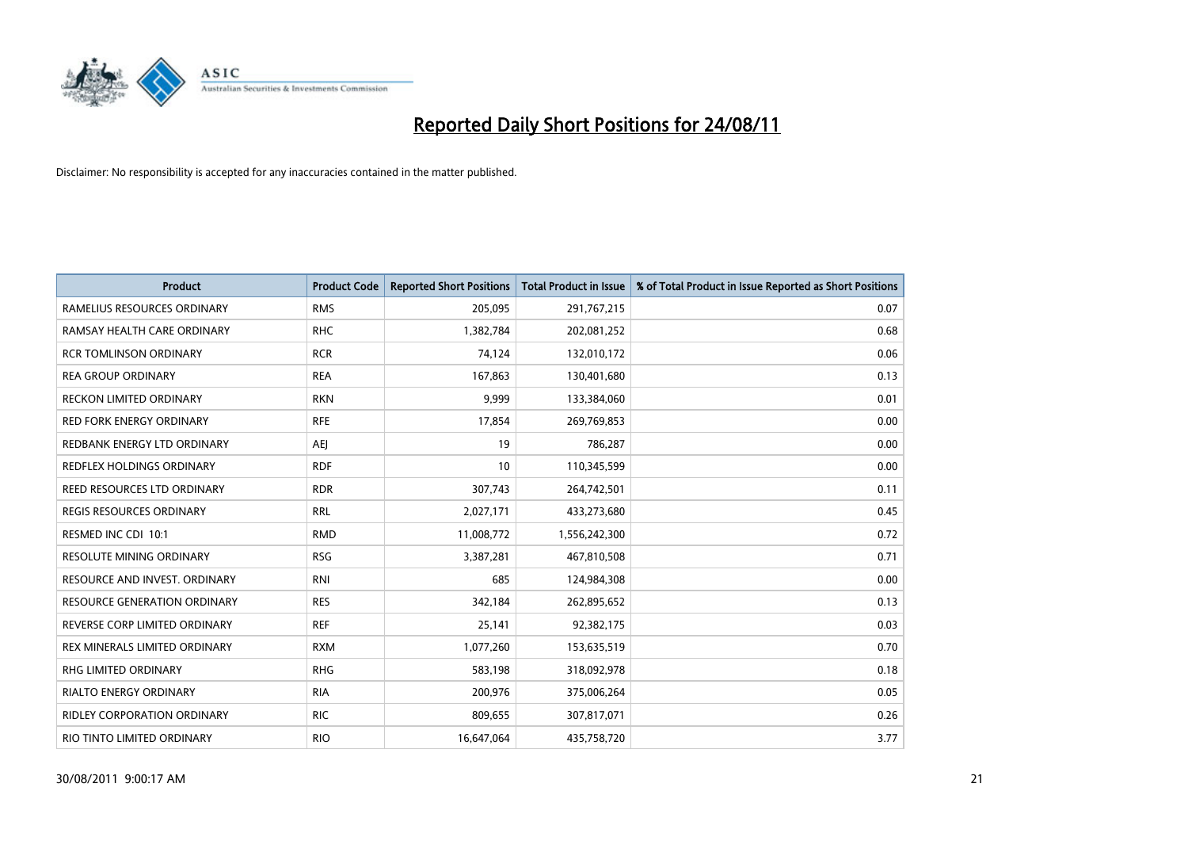

| <b>Product</b>                      | <b>Product Code</b> | <b>Reported Short Positions</b> | <b>Total Product in Issue</b> | % of Total Product in Issue Reported as Short Positions |
|-------------------------------------|---------------------|---------------------------------|-------------------------------|---------------------------------------------------------|
| RAMELIUS RESOURCES ORDINARY         | <b>RMS</b>          | 205,095                         | 291,767,215                   | 0.07                                                    |
| RAMSAY HEALTH CARE ORDINARY         | <b>RHC</b>          | 1,382,784                       | 202,081,252                   | 0.68                                                    |
| <b>RCR TOMLINSON ORDINARY</b>       | <b>RCR</b>          | 74,124                          | 132,010,172                   | 0.06                                                    |
| <b>REA GROUP ORDINARY</b>           | <b>REA</b>          | 167,863                         | 130,401,680                   | 0.13                                                    |
| <b>RECKON LIMITED ORDINARY</b>      | <b>RKN</b>          | 9,999                           | 133,384,060                   | 0.01                                                    |
| <b>RED FORK ENERGY ORDINARY</b>     | <b>RFE</b>          | 17,854                          | 269,769,853                   | 0.00                                                    |
| REDBANK ENERGY LTD ORDINARY         | AEJ                 | 19                              | 786,287                       | 0.00                                                    |
| REDFLEX HOLDINGS ORDINARY           | <b>RDF</b>          | 10                              | 110,345,599                   | 0.00                                                    |
| <b>REED RESOURCES LTD ORDINARY</b>  | <b>RDR</b>          | 307,743                         | 264,742,501                   | 0.11                                                    |
| <b>REGIS RESOURCES ORDINARY</b>     | <b>RRL</b>          | 2,027,171                       | 433,273,680                   | 0.45                                                    |
| RESMED INC CDI 10:1                 | <b>RMD</b>          | 11,008,772                      | 1,556,242,300                 | 0.72                                                    |
| <b>RESOLUTE MINING ORDINARY</b>     | <b>RSG</b>          | 3,387,281                       | 467,810,508                   | 0.71                                                    |
| RESOURCE AND INVEST. ORDINARY       | <b>RNI</b>          | 685                             | 124,984,308                   | 0.00                                                    |
| <b>RESOURCE GENERATION ORDINARY</b> | <b>RES</b>          | 342,184                         | 262,895,652                   | 0.13                                                    |
| REVERSE CORP LIMITED ORDINARY       | <b>REF</b>          | 25,141                          | 92,382,175                    | 0.03                                                    |
| REX MINERALS LIMITED ORDINARY       | <b>RXM</b>          | 1,077,260                       | 153,635,519                   | 0.70                                                    |
| RHG LIMITED ORDINARY                | <b>RHG</b>          | 583,198                         | 318,092,978                   | 0.18                                                    |
| <b>RIALTO ENERGY ORDINARY</b>       | <b>RIA</b>          | 200,976                         | 375,006,264                   | 0.05                                                    |
| <b>RIDLEY CORPORATION ORDINARY</b>  | <b>RIC</b>          | 809,655                         | 307,817,071                   | 0.26                                                    |
| RIO TINTO LIMITED ORDINARY          | <b>RIO</b>          | 16,647,064                      | 435,758,720                   | 3.77                                                    |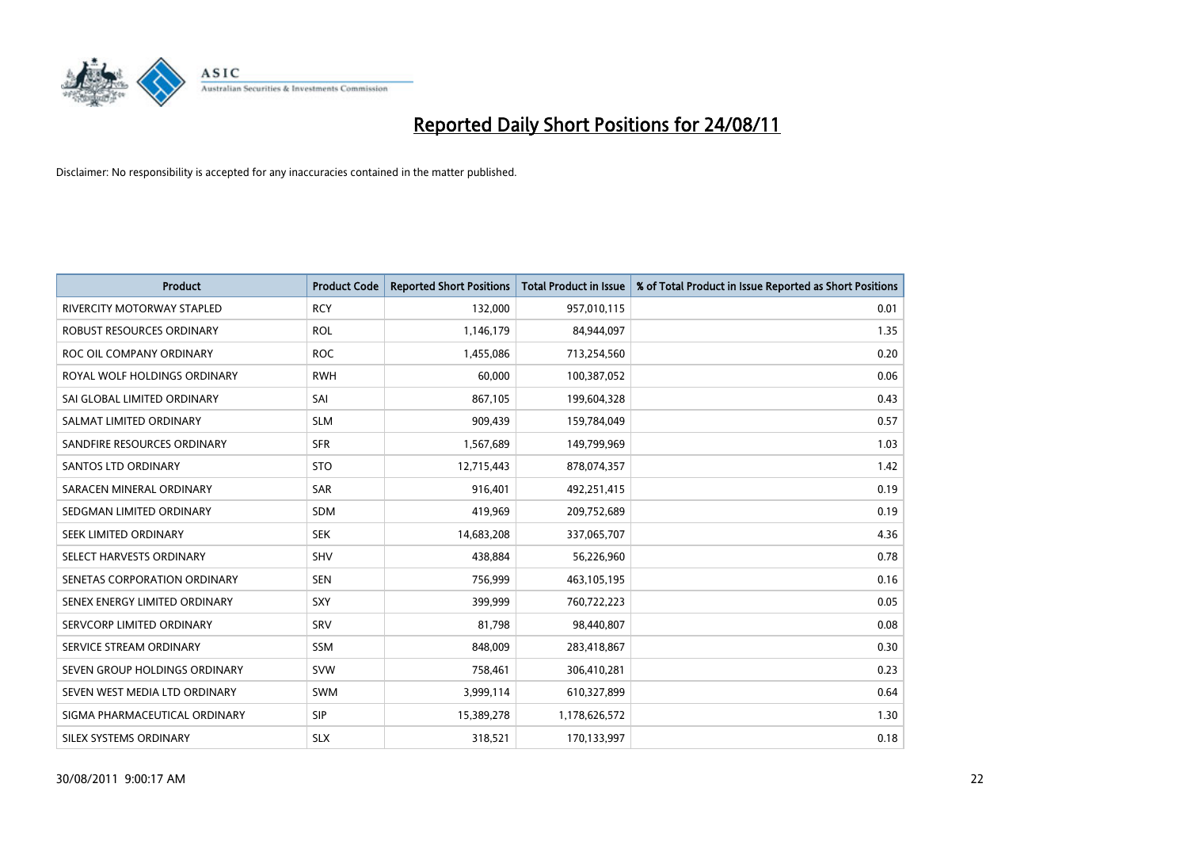

| <b>Product</b>                    | <b>Product Code</b> | <b>Reported Short Positions</b> | <b>Total Product in Issue</b> | % of Total Product in Issue Reported as Short Positions |
|-----------------------------------|---------------------|---------------------------------|-------------------------------|---------------------------------------------------------|
| <b>RIVERCITY MOTORWAY STAPLED</b> | <b>RCY</b>          | 132,000                         | 957,010,115                   | 0.01                                                    |
| ROBUST RESOURCES ORDINARY         | <b>ROL</b>          | 1,146,179                       | 84,944,097                    | 1.35                                                    |
| ROC OIL COMPANY ORDINARY          | <b>ROC</b>          | 1,455,086                       | 713,254,560                   | 0.20                                                    |
| ROYAL WOLF HOLDINGS ORDINARY      | <b>RWH</b>          | 60,000                          | 100,387,052                   | 0.06                                                    |
| SAI GLOBAL LIMITED ORDINARY       | SAI                 | 867,105                         | 199,604,328                   | 0.43                                                    |
| SALMAT LIMITED ORDINARY           | <b>SLM</b>          | 909,439                         | 159,784,049                   | 0.57                                                    |
| SANDFIRE RESOURCES ORDINARY       | <b>SFR</b>          | 1,567,689                       | 149,799,969                   | 1.03                                                    |
| <b>SANTOS LTD ORDINARY</b>        | <b>STO</b>          | 12,715,443                      | 878,074,357                   | 1.42                                                    |
| SARACEN MINERAL ORDINARY          | <b>SAR</b>          | 916,401                         | 492,251,415                   | 0.19                                                    |
| SEDGMAN LIMITED ORDINARY          | <b>SDM</b>          | 419,969                         | 209,752,689                   | 0.19                                                    |
| SEEK LIMITED ORDINARY             | <b>SEK</b>          | 14,683,208                      | 337,065,707                   | 4.36                                                    |
| SELECT HARVESTS ORDINARY          | SHV                 | 438,884                         | 56,226,960                    | 0.78                                                    |
| SENETAS CORPORATION ORDINARY      | <b>SEN</b>          | 756,999                         | 463,105,195                   | 0.16                                                    |
| SENEX ENERGY LIMITED ORDINARY     | SXY                 | 399,999                         | 760,722,223                   | 0.05                                                    |
| SERVCORP LIMITED ORDINARY         | SRV                 | 81,798                          | 98,440,807                    | 0.08                                                    |
| SERVICE STREAM ORDINARY           | <b>SSM</b>          | 848,009                         | 283,418,867                   | 0.30                                                    |
| SEVEN GROUP HOLDINGS ORDINARY     | <b>SVW</b>          | 758,461                         | 306,410,281                   | 0.23                                                    |
| SEVEN WEST MEDIA LTD ORDINARY     | <b>SWM</b>          | 3,999,114                       | 610,327,899                   | 0.64                                                    |
| SIGMA PHARMACEUTICAL ORDINARY     | <b>SIP</b>          | 15,389,278                      | 1,178,626,572                 | 1.30                                                    |
| SILEX SYSTEMS ORDINARY            | <b>SLX</b>          | 318,521                         | 170,133,997                   | 0.18                                                    |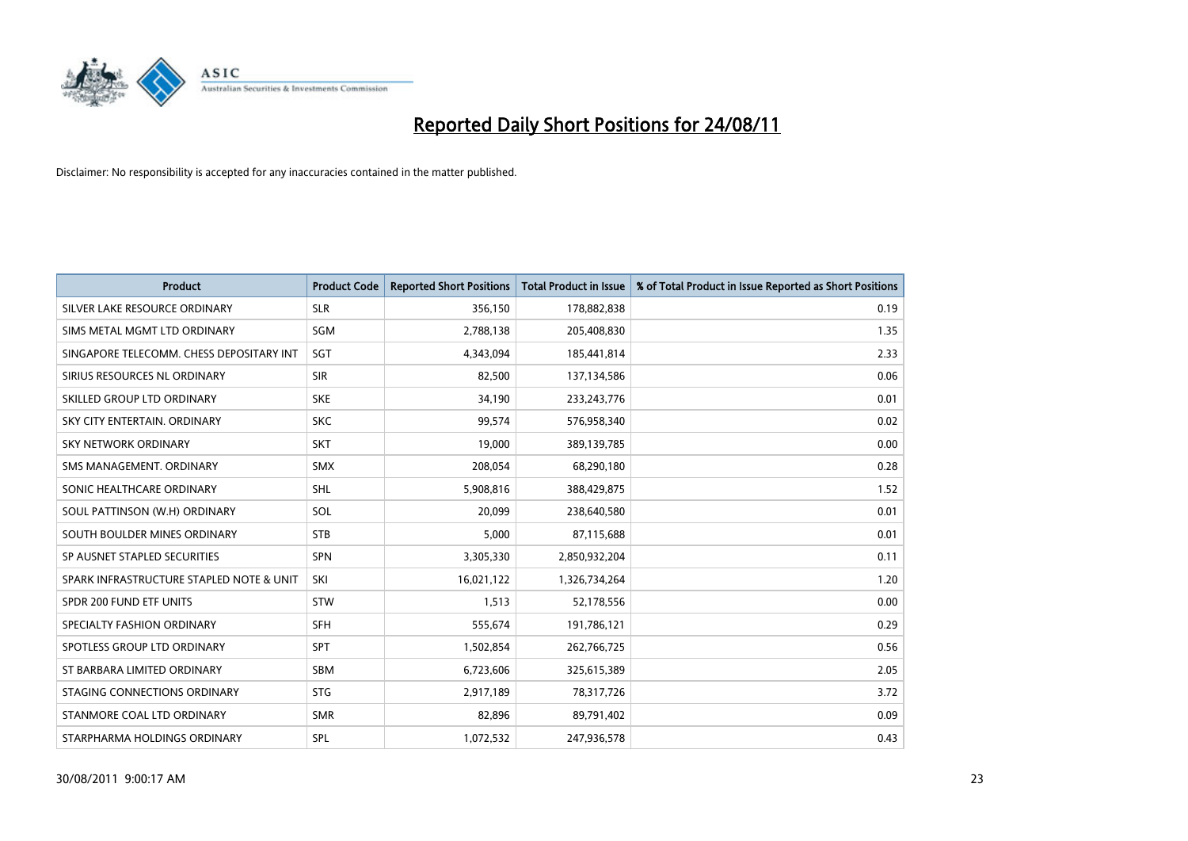

| <b>Product</b>                           | <b>Product Code</b> | <b>Reported Short Positions</b> | <b>Total Product in Issue</b> | % of Total Product in Issue Reported as Short Positions |
|------------------------------------------|---------------------|---------------------------------|-------------------------------|---------------------------------------------------------|
| SILVER LAKE RESOURCE ORDINARY            | <b>SLR</b>          | 356,150                         | 178,882,838                   | 0.19                                                    |
| SIMS METAL MGMT LTD ORDINARY             | SGM                 | 2,788,138                       | 205,408,830                   | 1.35                                                    |
| SINGAPORE TELECOMM. CHESS DEPOSITARY INT | SGT                 | 4,343,094                       | 185,441,814                   | 2.33                                                    |
| SIRIUS RESOURCES NL ORDINARY             | <b>SIR</b>          | 82,500                          | 137,134,586                   | 0.06                                                    |
| SKILLED GROUP LTD ORDINARY               | <b>SKE</b>          | 34,190                          | 233, 243, 776                 | 0.01                                                    |
| SKY CITY ENTERTAIN, ORDINARY             | <b>SKC</b>          | 99,574                          | 576,958,340                   | 0.02                                                    |
| <b>SKY NETWORK ORDINARY</b>              | <b>SKT</b>          | 19.000                          | 389,139,785                   | 0.00                                                    |
| SMS MANAGEMENT, ORDINARY                 | <b>SMX</b>          | 208,054                         | 68,290,180                    | 0.28                                                    |
| SONIC HEALTHCARE ORDINARY                | <b>SHL</b>          | 5,908,816                       | 388,429,875                   | 1.52                                                    |
| SOUL PATTINSON (W.H) ORDINARY            | SOL                 | 20.099                          | 238,640,580                   | 0.01                                                    |
| SOUTH BOULDER MINES ORDINARY             | <b>STB</b>          | 5,000                           | 87,115,688                    | 0.01                                                    |
| SP AUSNET STAPLED SECURITIES             | <b>SPN</b>          | 3,305,330                       | 2,850,932,204                 | 0.11                                                    |
| SPARK INFRASTRUCTURE STAPLED NOTE & UNIT | SKI                 | 16,021,122                      | 1,326,734,264                 | 1.20                                                    |
| SPDR 200 FUND ETF UNITS                  | <b>STW</b>          | 1,513                           | 52,178,556                    | 0.00                                                    |
| SPECIALTY FASHION ORDINARY               | <b>SFH</b>          | 555,674                         | 191,786,121                   | 0.29                                                    |
| SPOTLESS GROUP LTD ORDINARY              | <b>SPT</b>          | 1,502,854                       | 262,766,725                   | 0.56                                                    |
| ST BARBARA LIMITED ORDINARY              | <b>SBM</b>          | 6,723,606                       | 325,615,389                   | 2.05                                                    |
| STAGING CONNECTIONS ORDINARY             | <b>STG</b>          | 2,917,189                       | 78,317,726                    | 3.72                                                    |
| STANMORE COAL LTD ORDINARY               | <b>SMR</b>          | 82,896                          | 89,791,402                    | 0.09                                                    |
| STARPHARMA HOLDINGS ORDINARY             | SPL                 | 1,072,532                       | 247,936,578                   | 0.43                                                    |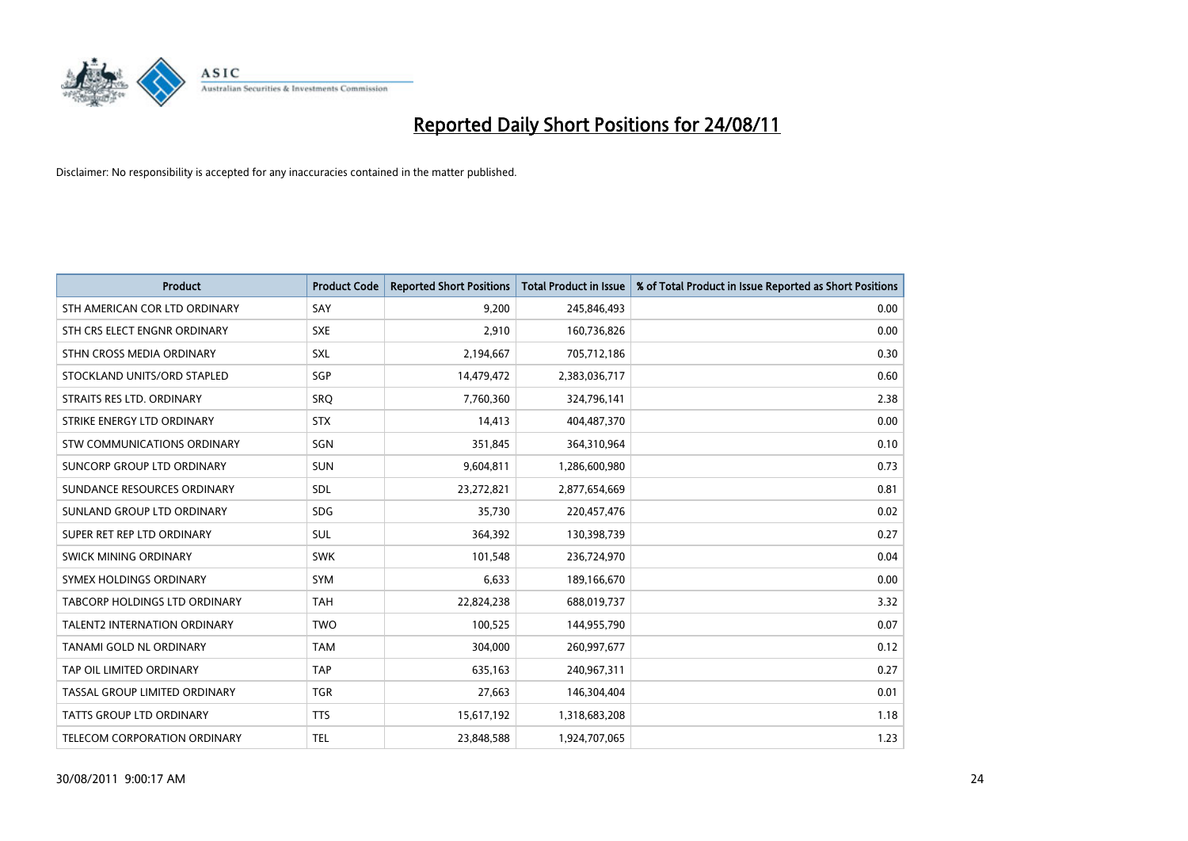

| <b>Product</b>                       | <b>Product Code</b> | <b>Reported Short Positions</b> | <b>Total Product in Issue</b> | % of Total Product in Issue Reported as Short Positions |
|--------------------------------------|---------------------|---------------------------------|-------------------------------|---------------------------------------------------------|
| STH AMERICAN COR LTD ORDINARY        | SAY                 | 9,200                           | 245,846,493                   | 0.00                                                    |
| STH CRS ELECT ENGNR ORDINARY         | <b>SXE</b>          | 2,910                           | 160,736,826                   | 0.00                                                    |
| STHN CROSS MEDIA ORDINARY            | <b>SXL</b>          | 2,194,667                       | 705,712,186                   | 0.30                                                    |
| STOCKLAND UNITS/ORD STAPLED          | SGP                 | 14,479,472                      | 2,383,036,717                 | 0.60                                                    |
| STRAITS RES LTD. ORDINARY            | <b>SRO</b>          | 7,760,360                       | 324,796,141                   | 2.38                                                    |
| STRIKE ENERGY LTD ORDINARY           | <b>STX</b>          | 14,413                          | 404,487,370                   | 0.00                                                    |
| STW COMMUNICATIONS ORDINARY          | SGN                 | 351,845                         | 364,310,964                   | 0.10                                                    |
| SUNCORP GROUP LTD ORDINARY           | <b>SUN</b>          | 9,604,811                       | 1,286,600,980                 | 0.73                                                    |
| SUNDANCE RESOURCES ORDINARY          | <b>SDL</b>          | 23,272,821                      | 2,877,654,669                 | 0.81                                                    |
| SUNLAND GROUP LTD ORDINARY           | <b>SDG</b>          | 35,730                          | 220,457,476                   | 0.02                                                    |
| SUPER RET REP LTD ORDINARY           | <b>SUL</b>          | 364,392                         | 130,398,739                   | 0.27                                                    |
| <b>SWICK MINING ORDINARY</b>         | <b>SWK</b>          | 101,548                         | 236,724,970                   | 0.04                                                    |
| SYMEX HOLDINGS ORDINARY              | SYM                 | 6,633                           | 189,166,670                   | 0.00                                                    |
| <b>TABCORP HOLDINGS LTD ORDINARY</b> | <b>TAH</b>          | 22,824,238                      | 688,019,737                   | 3.32                                                    |
| <b>TALENT2 INTERNATION ORDINARY</b>  | <b>TWO</b>          | 100,525                         | 144,955,790                   | 0.07                                                    |
| TANAMI GOLD NL ORDINARY              | <b>TAM</b>          | 304,000                         | 260,997,677                   | 0.12                                                    |
| TAP OIL LIMITED ORDINARY             | <b>TAP</b>          | 635,163                         | 240,967,311                   | 0.27                                                    |
| TASSAL GROUP LIMITED ORDINARY        | <b>TGR</b>          | 27,663                          | 146,304,404                   | 0.01                                                    |
| <b>TATTS GROUP LTD ORDINARY</b>      | <b>TTS</b>          | 15,617,192                      | 1,318,683,208                 | 1.18                                                    |
| TELECOM CORPORATION ORDINARY         | <b>TEL</b>          | 23,848,588                      | 1,924,707,065                 | 1.23                                                    |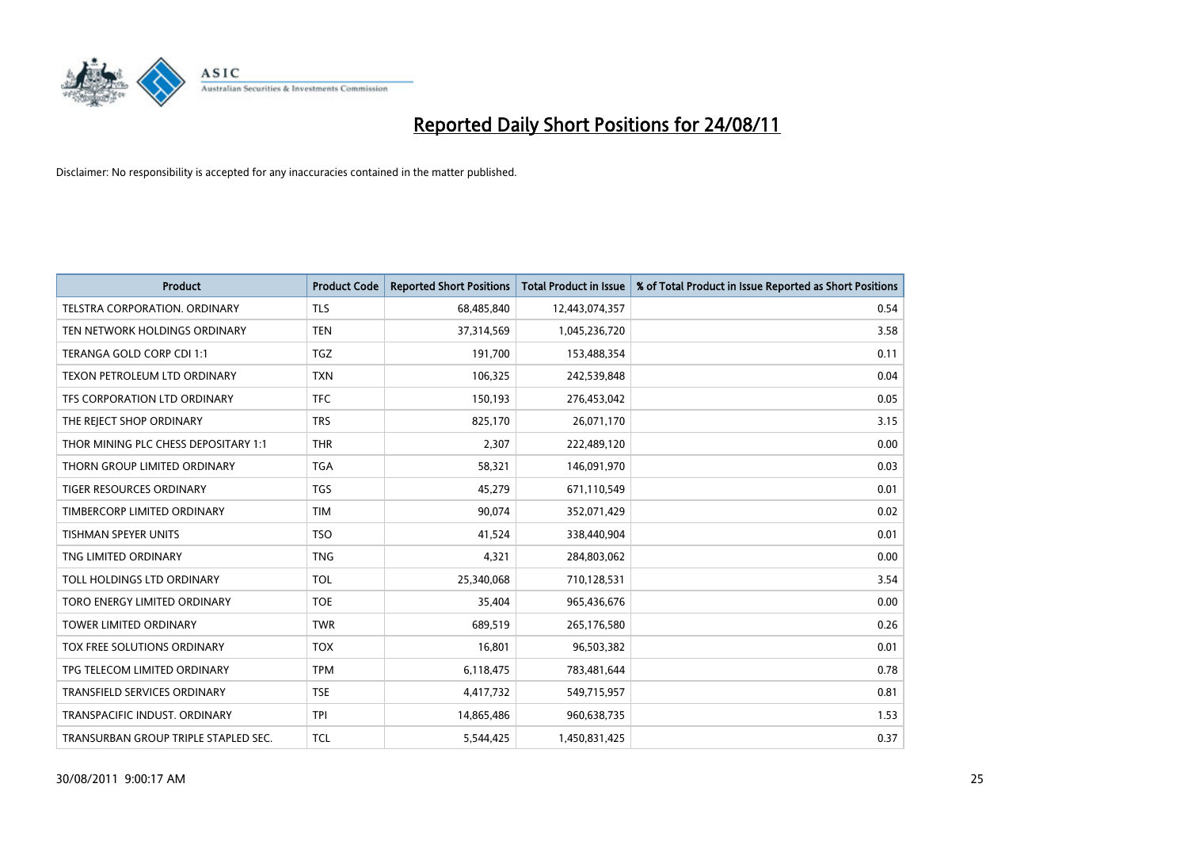

| <b>Product</b>                       | <b>Product Code</b> | <b>Reported Short Positions</b> | <b>Total Product in Issue</b> | % of Total Product in Issue Reported as Short Positions |
|--------------------------------------|---------------------|---------------------------------|-------------------------------|---------------------------------------------------------|
| <b>TELSTRA CORPORATION, ORDINARY</b> | TLS                 | 68,485,840                      | 12,443,074,357                | 0.54                                                    |
| TEN NETWORK HOLDINGS ORDINARY        | <b>TEN</b>          | 37,314,569                      | 1,045,236,720                 | 3.58                                                    |
| TERANGA GOLD CORP CDI 1:1            | <b>TGZ</b>          | 191,700                         | 153,488,354                   | 0.11                                                    |
| TEXON PETROLEUM LTD ORDINARY         | <b>TXN</b>          | 106,325                         | 242,539,848                   | 0.04                                                    |
| TFS CORPORATION LTD ORDINARY         | <b>TFC</b>          | 150.193                         | 276,453,042                   | 0.05                                                    |
| THE REJECT SHOP ORDINARY             | <b>TRS</b>          | 825,170                         | 26,071,170                    | 3.15                                                    |
| THOR MINING PLC CHESS DEPOSITARY 1:1 | <b>THR</b>          | 2,307                           | 222,489,120                   | 0.00                                                    |
| THORN GROUP LIMITED ORDINARY         | <b>TGA</b>          | 58,321                          | 146,091,970                   | 0.03                                                    |
| <b>TIGER RESOURCES ORDINARY</b>      | <b>TGS</b>          | 45,279                          | 671,110,549                   | 0.01                                                    |
| TIMBERCORP LIMITED ORDINARY          | <b>TIM</b>          | 90,074                          | 352,071,429                   | 0.02                                                    |
| TISHMAN SPEYER UNITS                 | <b>TSO</b>          | 41,524                          | 338,440,904                   | 0.01                                                    |
| TNG LIMITED ORDINARY                 | <b>TNG</b>          | 4,321                           | 284,803,062                   | 0.00                                                    |
| TOLL HOLDINGS LTD ORDINARY           | <b>TOL</b>          | 25,340,068                      | 710,128,531                   | 3.54                                                    |
| TORO ENERGY LIMITED ORDINARY         | <b>TOE</b>          | 35,404                          | 965,436,676                   | 0.00                                                    |
| <b>TOWER LIMITED ORDINARY</b>        | <b>TWR</b>          | 689,519                         | 265,176,580                   | 0.26                                                    |
| <b>TOX FREE SOLUTIONS ORDINARY</b>   | <b>TOX</b>          | 16,801                          | 96,503,382                    | 0.01                                                    |
| TPG TELECOM LIMITED ORDINARY         | <b>TPM</b>          | 6,118,475                       | 783,481,644                   | 0.78                                                    |
| TRANSFIELD SERVICES ORDINARY         | <b>TSE</b>          | 4,417,732                       | 549,715,957                   | 0.81                                                    |
| TRANSPACIFIC INDUST, ORDINARY        | <b>TPI</b>          | 14,865,486                      | 960,638,735                   | 1.53                                                    |
| TRANSURBAN GROUP TRIPLE STAPLED SEC. | <b>TCL</b>          | 5,544,425                       | 1,450,831,425                 | 0.37                                                    |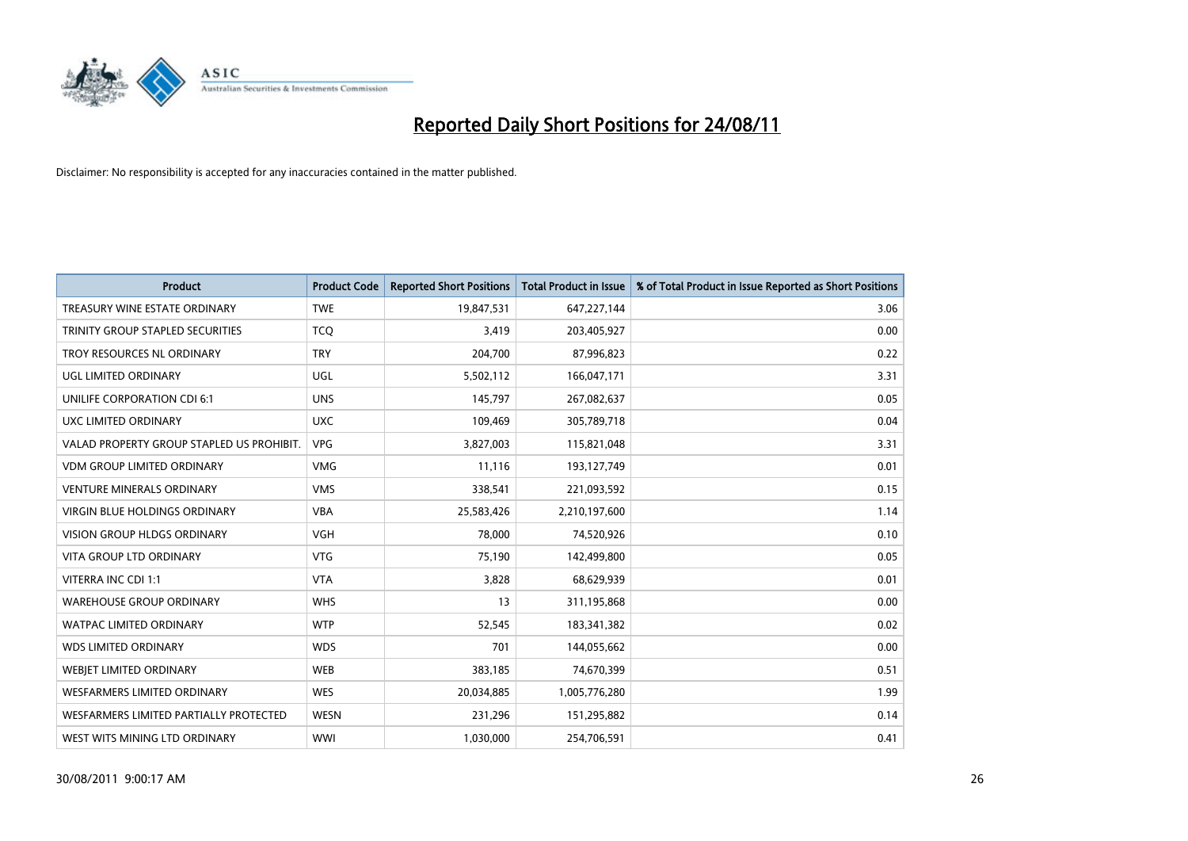

| <b>Product</b>                            | <b>Product Code</b> | <b>Reported Short Positions</b> | <b>Total Product in Issue</b> | % of Total Product in Issue Reported as Short Positions |
|-------------------------------------------|---------------------|---------------------------------|-------------------------------|---------------------------------------------------------|
| TREASURY WINE ESTATE ORDINARY             | <b>TWE</b>          | 19,847,531                      | 647,227,144                   | 3.06                                                    |
| TRINITY GROUP STAPLED SECURITIES          | <b>TCQ</b>          | 3,419                           | 203,405,927                   | 0.00                                                    |
| TROY RESOURCES NL ORDINARY                | <b>TRY</b>          | 204,700                         | 87,996,823                    | 0.22                                                    |
| UGL LIMITED ORDINARY                      | UGL                 | 5,502,112                       | 166,047,171                   | 3.31                                                    |
| UNILIFE CORPORATION CDI 6:1               | <b>UNS</b>          | 145,797                         | 267,082,637                   | 0.05                                                    |
| UXC LIMITED ORDINARY                      | <b>UXC</b>          | 109,469                         | 305,789,718                   | 0.04                                                    |
| VALAD PROPERTY GROUP STAPLED US PROHIBIT. | <b>VPG</b>          | 3,827,003                       | 115,821,048                   | 3.31                                                    |
| <b>VDM GROUP LIMITED ORDINARY</b>         | <b>VMG</b>          | 11,116                          | 193,127,749                   | 0.01                                                    |
| <b>VENTURE MINERALS ORDINARY</b>          | <b>VMS</b>          | 338,541                         | 221,093,592                   | 0.15                                                    |
| VIRGIN BLUE HOLDINGS ORDINARY             | <b>VBA</b>          | 25,583,426                      | 2,210,197,600                 | 1.14                                                    |
| VISION GROUP HLDGS ORDINARY               | <b>VGH</b>          | 78,000                          | 74,520,926                    | 0.10                                                    |
| <b>VITA GROUP LTD ORDINARY</b>            | <b>VTG</b>          | 75,190                          | 142,499,800                   | 0.05                                                    |
| VITERRA INC CDI 1:1                       | <b>VTA</b>          | 3,828                           | 68,629,939                    | 0.01                                                    |
| <b>WAREHOUSE GROUP ORDINARY</b>           | <b>WHS</b>          | 13                              | 311,195,868                   | 0.00                                                    |
| <b>WATPAC LIMITED ORDINARY</b>            | <b>WTP</b>          | 52,545                          | 183,341,382                   | 0.02                                                    |
| <b>WDS LIMITED ORDINARY</b>               | <b>WDS</b>          | 701                             | 144,055,662                   | 0.00                                                    |
| <b>WEBIET LIMITED ORDINARY</b>            | <b>WEB</b>          | 383,185                         | 74,670,399                    | 0.51                                                    |
| <b>WESFARMERS LIMITED ORDINARY</b>        | <b>WES</b>          | 20,034,885                      | 1,005,776,280                 | 1.99                                                    |
| WESFARMERS LIMITED PARTIALLY PROTECTED    | <b>WESN</b>         | 231,296                         | 151,295,882                   | 0.14                                                    |
| WEST WITS MINING LTD ORDINARY             | <b>WWI</b>          | 1,030,000                       | 254,706,591                   | 0.41                                                    |